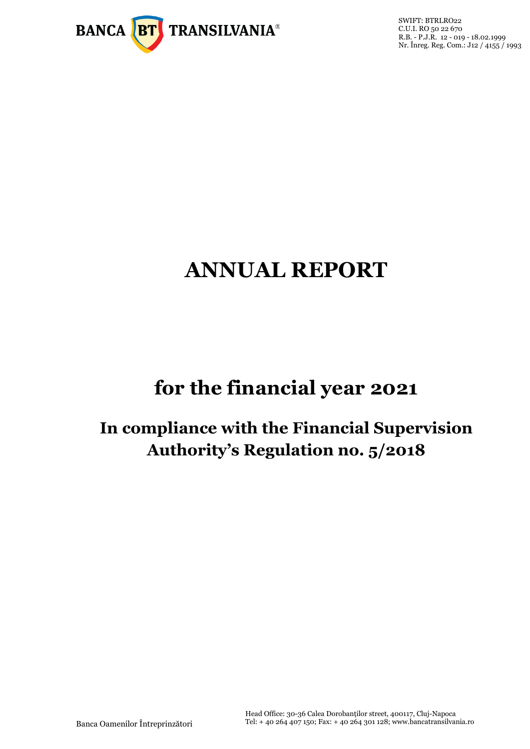

SWIFT: BTRLRO22 C.U.I. RO 50 22 670 R.B. - P.J.R. 12 - 019 - 18.02.1999 Nr. Înreg. Reg. Com.: J12 / 4155 / 1993

# **ANNUAL REPORT**

# **for the financial year 2021**

# **In compliance with the Financial Supervision Authority's Regulation no. 5/2018**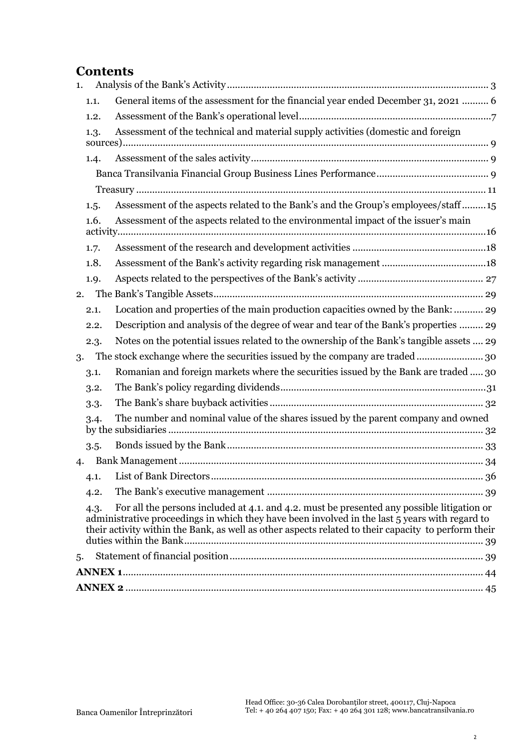# **Contents**

| 1. |      |                                                                                                                                                                                                                                                                                                     |
|----|------|-----------------------------------------------------------------------------------------------------------------------------------------------------------------------------------------------------------------------------------------------------------------------------------------------------|
|    | 1.1. | General items of the assessment for the financial year ended December 31, 2021  6                                                                                                                                                                                                                   |
|    | 1.2. |                                                                                                                                                                                                                                                                                                     |
|    | 1.3. | Assessment of the technical and material supply activities (domestic and foreign                                                                                                                                                                                                                    |
|    |      |                                                                                                                                                                                                                                                                                                     |
|    | 1.4. |                                                                                                                                                                                                                                                                                                     |
|    |      |                                                                                                                                                                                                                                                                                                     |
|    |      |                                                                                                                                                                                                                                                                                                     |
|    | 1.5. | Assessment of the aspects related to the Bank's and the Group's employees/staff15                                                                                                                                                                                                                   |
|    | 1.6. | Assessment of the aspects related to the environmental impact of the issuer's main                                                                                                                                                                                                                  |
|    | 1.7. |                                                                                                                                                                                                                                                                                                     |
|    | 1.8. |                                                                                                                                                                                                                                                                                                     |
|    | 1.9. |                                                                                                                                                                                                                                                                                                     |
| 2. |      |                                                                                                                                                                                                                                                                                                     |
|    | 2.1. | Location and properties of the main production capacities owned by the Bank:  29                                                                                                                                                                                                                    |
|    | 2.2. | Description and analysis of the degree of wear and tear of the Bank's properties  29                                                                                                                                                                                                                |
|    | 2.3. | Notes on the potential issues related to the ownership of the Bank's tangible assets  29                                                                                                                                                                                                            |
| 3. |      | The stock exchange where the securities issued by the company are traded 30                                                                                                                                                                                                                         |
|    | 3.1. | Romanian and foreign markets where the securities issued by the Bank are traded  30                                                                                                                                                                                                                 |
|    | 3.2. |                                                                                                                                                                                                                                                                                                     |
|    | 3.3. |                                                                                                                                                                                                                                                                                                     |
|    | 3.4. | The number and nominal value of the shares issued by the parent company and owned                                                                                                                                                                                                                   |
|    | 3.5. |                                                                                                                                                                                                                                                                                                     |
| 4. |      |                                                                                                                                                                                                                                                                                                     |
|    |      |                                                                                                                                                                                                                                                                                                     |
|    | 4.2. |                                                                                                                                                                                                                                                                                                     |
|    | 4.3. | For all the persons included at 4.1, and 4.2, must be presented any possible litigation or<br>administrative proceedings in which they have been involved in the last 5 years with regard to<br>their activity within the Bank, as well as other aspects related to their capacity to perform their |
| 5. |      |                                                                                                                                                                                                                                                                                                     |
|    |      |                                                                                                                                                                                                                                                                                                     |
|    |      |                                                                                                                                                                                                                                                                                                     |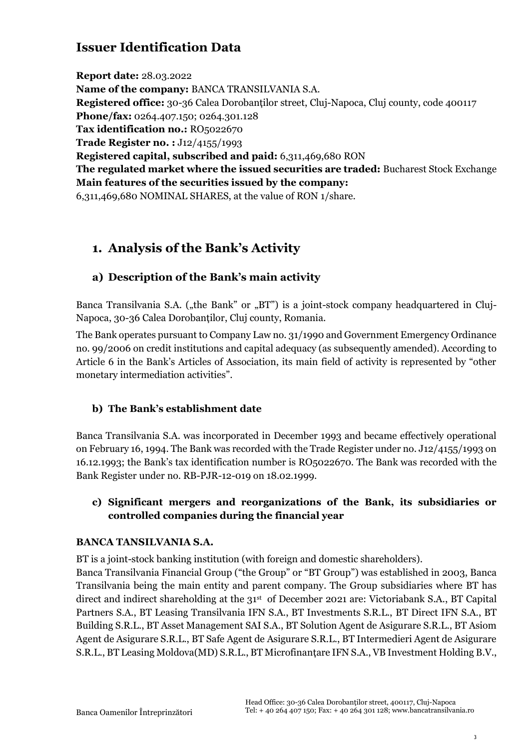# **Issuer Identification Data**

**Report date:** 28.03.2022 **Name of the company:** BANCA TRANSILVANIA S.A. **Registered office:** 30-36 Calea Dorobanților street, Cluj-Napoca, Cluj county, code 400117 **Phone/fax:** 0264.407.150; 0264.301.128 Tax identification no.: RO<sub>5</sub>022670 **Trade Register no. :** J12/4155/1993 **Registered capital, subscribed and paid:** 6,311,469,680 RON **The regulated market where the issued securities are traded:** Bucharest Stock Exchange **Main features of the securities issued by the company:**  6,311,469,680 NOMINAL SHARES, at the value of RON 1/share.

# <span id="page-2-0"></span>**1. Analysis of the Bank's Activity**

### **a) Description of the Bank's main activity**

Banca Transilvania S.A. ("the Bank" or "BT") is a joint-stock company headquartered in Cluj-Napoca, 30-36 Calea Dorobanților, Cluj county, Romania.

The Bank operates pursuant to Company Law no. 31/1990 and Government Emergency Ordinance no. 99/2006 on credit institutions and capital adequacy (as subsequently amended). According to Article 6 in the Bank's Articles of Association, its main field of activity is represented by "other monetary intermediation activities".

### **b) The Bank's establishment date**

Banca Transilvania S.A. was incorporated in December 1993 and became effectively operational on February 16, 1994. The Bank was recorded with the Trade Register under no. J12/4155/1993 on 16.12.1993; the Bank's tax identification number is RO5022670. The Bank was recorded with the Bank Register under no. RB-PJR-12-019 on 18.02.1999.

### **c) Significant mergers and reorganizations of the Bank, its subsidiaries or controlled companies during the financial year**

### **BANCA TANSILVANIA S.A.**

BT is a joint-stock banking institution (with foreign and domestic shareholders).

Banca Transilvania Financial Group ("the Group" or "BT Group") was established in 2003, Banca Transilvania being the main entity and parent company. The Group subsidiaries where BT has direct and indirect shareholding at the 31<sup>st</sup> of December 2021 are: Victoriabank S.A., BT Capital Partners S.A., BT Leasing Transilvania IFN S.A., BT Investments S.R.L., BT Direct IFN S.A., BT Building S.R.L., BT Asset Management SAI S.A., BT Solution Agent de Asigurare S.R.L., BT Asiom Agent de Asigurare S.R.L., BT Safe Agent de Asigurare S.R.L., BT Intermedieri Agent de Asigurare S.R.L., BT Leasing Moldova(MD) S.R.L., BT Microfinanțare IFN S.A., VB Investment Holding B.V.,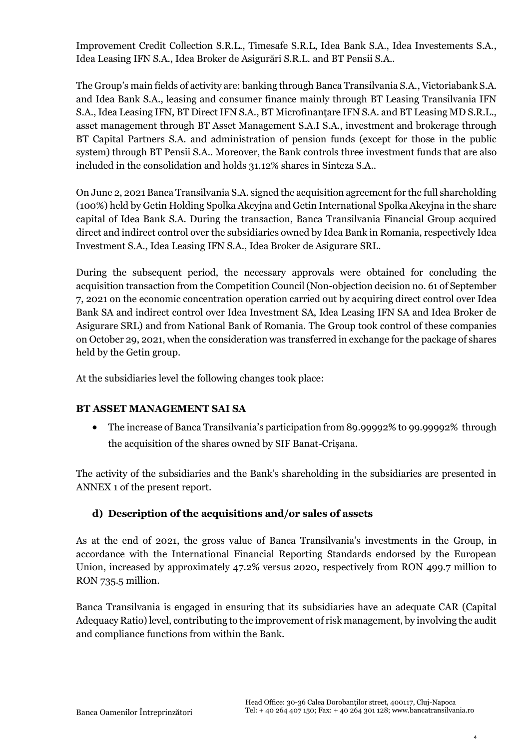Improvement Credit Collection S.R.L., Timesafe S.R.L, Idea Bank S.A., Idea Investements S.A., Idea Leasing IFN S.A., Idea Broker de Asigurări S.R.L. and BT Pensii S.A..

The Group's main fields of activity are: banking through Banca Transilvania S.A., Victoriabank S.A. and Idea Bank S.A., leasing and consumer finance mainly through BT Leasing Transilvania IFN S.A., Idea Leasing IFN, BT Direct IFN S.A., BT Microfinantare IFN S.A. and BT Leasing MD S.R.L., asset management through BT Asset Management S.A.I S.A., investment and brokerage through BT Capital Partners S.A. and administration of pension funds (except for those in the public system) through BT Pensii S.A.. Moreover, the Bank controls three investment funds that are also included in the consolidation and holds 31.12% shares in Sinteza S.A..

On June 2, 2021 Banca Transilvania S.A. signed the acquisition agreement for the full shareholding (100%) held by Getin Holding Spolka Akcyjna and Getin International Spolka Akcyjna in the share capital of Idea Bank S.A. During the transaction, Banca Transilvania Financial Group acquired direct and indirect control over the subsidiaries owned by Idea Bank in Romania, respectively Idea Investment S.A., Idea Leasing IFN S.A., Idea Broker de Asigurare SRL.

During the subsequent period, the necessary approvals were obtained for concluding the acquisition transaction from the Competition Council (Non-objection decision no. 61 of September 7, 2021 on the economic concentration operation carried out by acquiring direct control over Idea Bank SA and indirect control over Idea Investment SA, Idea Leasing IFN SA and Idea Broker de Asigurare SRL) and from National Bank of Romania. The Group took control of these companies on October 29, 2021, when the consideration was transferred in exchange for the package of shares held by the Getin group.

At the subsidiaries level the following changes took place:

### **BT ASSET MANAGEMENT SAI SA**

• The increase of Banca Transilvania's participation from 89.99992% to 99.99992% through the acquisition of the shares owned by SIF Banat-Crișana.

The activity of the subsidiaries and the Bank's shareholding in the subsidiaries are presented in ANNEX 1 of the present report.

### **d) Description of the acquisitions and/or sales of assets**

As at the end of 2021, the gross value of Banca Transilvania's investments in the Group, in accordance with the International Financial Reporting Standards endorsed by the European Union, increased by approximately 47.2% versus 2020, respectively from RON 499.7 million to RON 735.5 million.

Banca Transilvania is engaged in ensuring that its subsidiaries have an adequate CAR (Capital Adequacy Ratio) level, contributing to the improvement of risk management, by involving the audit and compliance functions from within the Bank.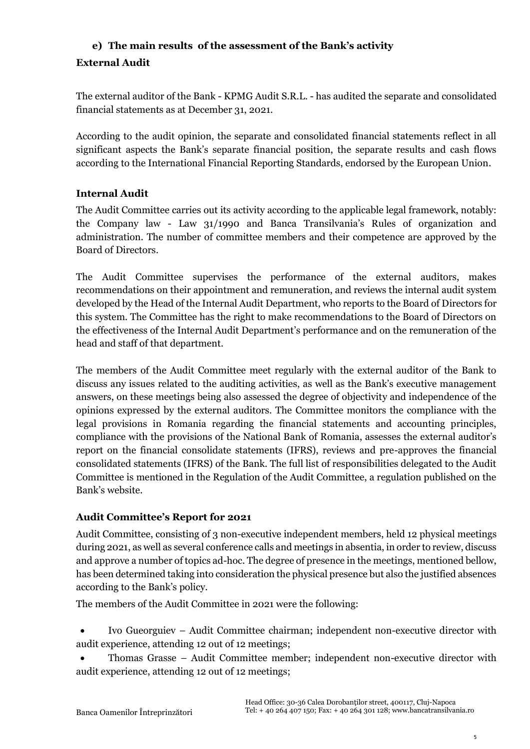## **e) The main results of the assessment of the Bank's activity External Audit**

The external auditor of the Bank - KPMG Audit S.R.L. - has audited the separate and consolidated financial statements as at December 31, 2021.

According to the audit opinion, the separate and consolidated financial statements reflect in all significant aspects the Bank's separate financial position, the separate results and cash flows according to the International Financial Reporting Standards, endorsed by the European Union.

### **Internal Audit**

The Audit Committee carries out its activity according to the applicable legal framework, notably: the Company law - Law 31/1990 and Banca Transilvania's Rules of organization and administration. The number of committee members and their competence are approved by the Board of Directors.

The Audit Committee supervises the performance of the external auditors, makes recommendations on their appointment and remuneration, and reviews the internal audit system developed by the Head of the Internal Audit Department, who reports to the Board of Directors for this system. The Committee has the right to make recommendations to the Board of Directors on the effectiveness of the Internal Audit Department's performance and on the remuneration of the head and staff of that department.

The members of the Audit Committee meet regularly with the external auditor of the Bank to discuss any issues related to the auditing activities, as well as the Bank's executive management answers, on these meetings being also assessed the degree of objectivity and independence of the opinions expressed by the external auditors. The Committee monitors the compliance with the legal provisions in Romania regarding the financial statements and accounting principles, compliance with the provisions of the National Bank of Romania, assesses the external auditor's report on the financial consolidate statements (IFRS), reviews and pre-approves the financial consolidated statements (IFRS) of the Bank. The full list of responsibilities delegated to the Audit Committee is mentioned in the Regulation of the Audit Committee, a regulation published on the Bank's website.

### **Audit Committee's Report for 2021**

Audit Committee, consisting of 3 non-executive independent members, held 12 physical meetings during 2021, as well as several conference calls and meetings in absentia, in order to review, discuss and approve a number of topics ad-hoc. The degree of presence in the meetings, mentioned bellow, has been determined taking into consideration the physical presence but also the justified absences according to the Bank's policy.

The members of the Audit Committee in 2021 were the following:

- Ivo Gueorguiev Audit Committee chairman; independent non-executive director with audit experience, attending 12 out of 12 meetings;
- Thomas Grasse Audit Committee member; independent non-executive director with audit experience, attending 12 out of 12 meetings;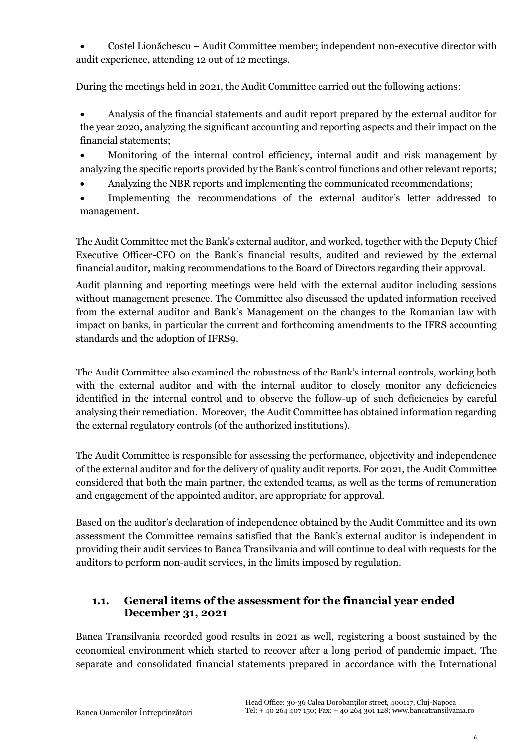• Costel Lionăchescu – Audit Committee member; independent non-executive director with audit experience, attending 12 out of 12 meetings.

During the meetings held in 2021, the Audit Committee carried out the following actions:

• Analysis of the financial statements and audit report prepared by the external auditor for the year 2020, analyzing the significant accounting and reporting aspects and their impact on the financial statements;

• Monitoring of the internal control efficiency, internal audit and risk management by analyzing the specific reports provided by the Bank's control functions and other relevant reports;

- Analyzing the NBR reports and implementing the communicated recommendations;
- Implementing the recommendations of the external auditor's letter addressed to management.

The Audit Committee met the Bank's external auditor, and worked, together with the Deputy Chief Executive Officer-CFO on the Bank's financial results, audited and reviewed by the external financial auditor, making recommendations to the Board of Directors regarding their approval.

Audit planning and reporting meetings were held with the external auditor including sessions without management presence. The Committee also discussed the updated information received from the external auditor and Bank's Management on the changes to the Romanian law with impact on banks, in particular the current and forthcoming amendments to the IFRS accounting standards and the adoption of IFRS9.

The Audit Committee also examined the robustness of the Bank's internal controls, working both with the external auditor and with the internal auditor to closely monitor any deficiencies identified in the internal control and to observe the follow-up of such deficiencies by careful analysing their remediation. Moreover, the Audit Committee has obtained information regarding the external regulatory controls (of the authorized institutions).

The Audit Committee is responsible for assessing the performance, objectivity and independence of the external auditor and for the delivery of quality audit reports. For 2021, the Audit Committee considered that both the main partner, the extended teams, as well as the terms of remuneration and engagement of the appointed auditor, are appropriate for approval.

Based on the auditor's declaration of independence obtained by the Audit Committee and its own assessment the Committee remains satisfied that the Bank's external auditor is independent in providing their audit services to Banca Transilvania and will continue to deal with requests for the auditors to perform non-audit services, in the limits imposed by regulation.

### <span id="page-5-0"></span>**1.1. General items of the assessment for the financial year ended December 31, 2021**

Banca Transilvania recorded good results in 2021 as well, registering a boost sustained by the economical environment which started to recover after a long period of pandemic impact. The separate and consolidated financial statements prepared in accordance with the International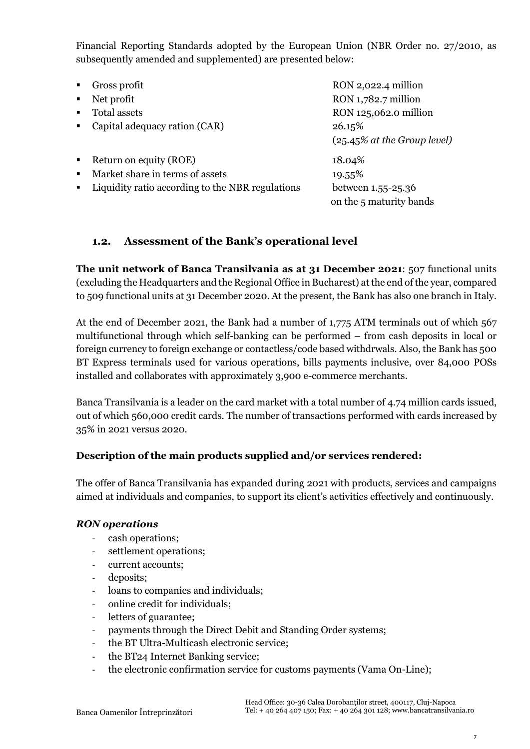Financial Reporting Standards adopted by the European Union (NBR Order no. 27/2010, as subsequently amended and supplemented) are presented below:

| $\blacksquare$ | Gross profit                                     | RON 2,022.4 million                           |
|----------------|--------------------------------------------------|-----------------------------------------------|
| $\blacksquare$ | Net profit                                       | RON 1,782.7 million                           |
| $\blacksquare$ | Total assets                                     | RON 125,062.0 million                         |
| $\blacksquare$ | Capital adequacy ration (CAR)                    | 26.15%<br>$(25.45\%$ at the Group level)      |
| $\blacksquare$ | Return on equity (ROE)                           | 18.04%                                        |
| $\blacksquare$ | Market share in terms of assets                  | 19.55%                                        |
| $\blacksquare$ | Liquidity ratio according to the NBR regulations | between 1.55-25.36<br>on the 5 maturity bands |

### <span id="page-6-0"></span>**1.2. Assessment of the Bank's operational level**

**The unit network of Banca Transilvania as at 31 December 2021**: 507 functional units (excluding the Headquarters and the Regional Office in Bucharest) at the end of the year, compared to 509 functional units at 31 December 2020. At the present, the Bank has also one branch in Italy.

At the end of December 2021, the Bank had a number of 1,775 ATM terminals out of which 567 multifunctional through which self-banking can be performed – from cash deposits in local or foreign currency to foreign exchange or contactless/code based withdrwals. Also, the Bank has 500 BT Express terminals used for various operations, bills payments inclusive, over 84,000 POSs installed and collaborates with approximately 3,900 e-commerce merchants.

Banca Transilvania is a leader on the card market with a total number of 4.74 million cards issued, out of which 560,000 credit cards. The number of transactions performed with cards increased by 35% in 2021 versus 2020.

### **Description of the main products supplied and/or services rendered:**

The offer of Banca Transilvania has expanded during 2021 with products, services and campaigns aimed at individuals and companies, to support its client's activities effectively and continuously.

### *RON operations*

- cash operations;
- settlement operations;
- current accounts;
- deposits;
- loans to companies and individuals;
- online credit for individuals;
- letters of guarantee;
- payments through the Direct Debit and Standing Order systems;
- the BT Ultra-Multicash electronic service;
- the BT24 Internet Banking service;
- the electronic confirmation service for customs payments (Vama On-Line);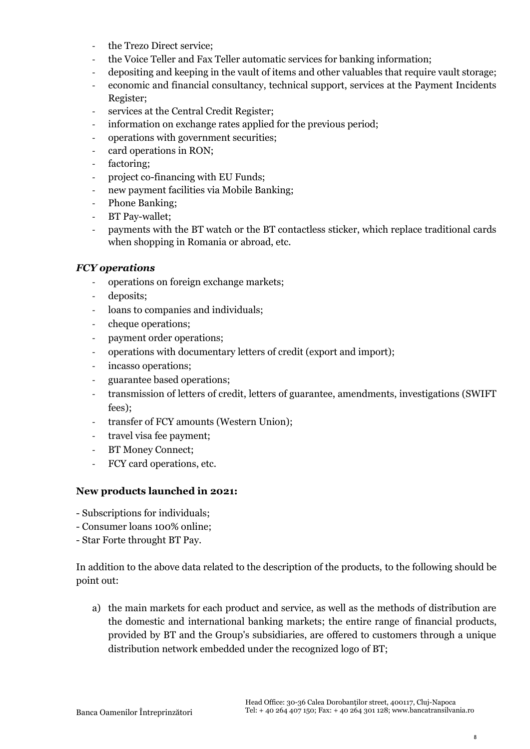- the Trezo Direct service;
- the Voice Teller and Fax Teller automatic services for banking information;
- depositing and keeping in the vault of items and other valuables that require vault storage;
- economic and financial consultancy, technical support, services at the Payment Incidents Register;
- services at the Central Credit Register;
- information on exchange rates applied for the previous period;
- operations with government securities;
- card operations in RON;
- factoring;
- project co-financing with EU Funds;
- new payment facilities via Mobile Banking;
- Phone Banking;
- BT Pay-wallet;
- payments with the BT watch or the BT contactless sticker, which replace traditional cards when shopping in Romania or abroad, etc.

### *FCY operations*

- operations on foreign exchange markets;
- deposits;
- loans to companies and individuals;
- cheque operations;
- payment order operations;
- operations with documentary letters of credit (export and import);
- incasso operations;
- guarantee based operations;
- transmission of letters of credit, letters of guarantee, amendments, investigations (SWIFT fees);
- transfer of FCY amounts (Western Union);
- travel visa fee payment;
- BT Money Connect;
- FCY card operations, etc.

### **New products launched in 2021:**

- Subscriptions for individuals;
- Consumer loans 100% online;
- Star Forte throught BT Pay.

In addition to the above data related to the description of the products, to the following should be point out:

a) the main markets for each product and service, as well as the methods of distribution are the domestic and international banking markets; the entire range of financial products, provided by BT and the Group's subsidiaries, are offered to customers through a unique distribution network embedded under the recognized logo of BT;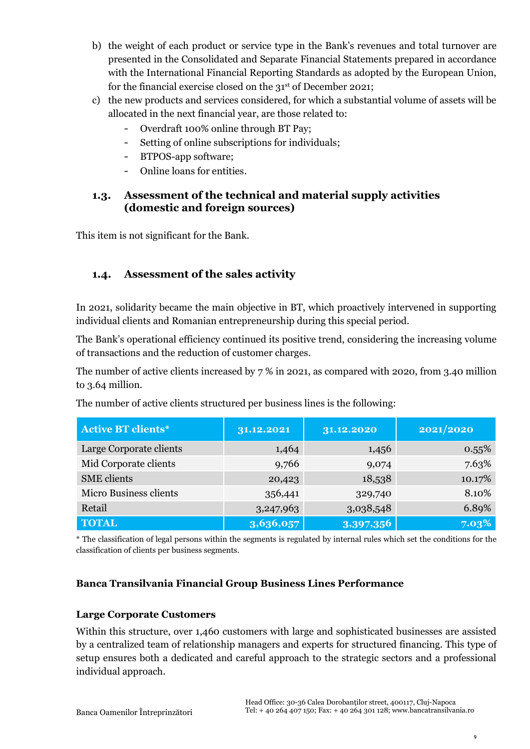- b) the weight of each product or service type in the Bank's revenues and total turnover are presented in the Consolidated and Separate Financial Statements prepared in accordance with the International Financial Reporting Standards as adopted by the European Union, for the financial exercise closed on the 31<sup>st</sup> of December 2021;
- c) the new products and services considered, for which a substantial volume of assets will be allocated in the next financial year, are those related to:
	- Overdraft 100% online through BT Pay;
	- Setting of online subscriptions for individuals;
	- BTPOS-app software;
	- Online loans for entities.

### <span id="page-8-0"></span>**1.3. Assessment of the technical and material supply activities (domestic and foreign sources)**

This item is not significant for the Bank.

### <span id="page-8-1"></span>**1.4. Assessment of the sales activity**

In 2021, solidarity became the main objective in BT, which proactively intervened in supporting individual clients and Romanian entrepreneurship during this special period.

The Bank's operational efficiency continued its positive trend, considering the increasing volume of transactions and the reduction of customer charges.

The number of active clients increased by  $7\%$  in 2021, as compared with 2020, from 3.40 million to 3.64 million.

| <b>Active BT clients*</b>     | 31.12.2021 | 31.12.2020 | 2021/2020 |  |
|-------------------------------|------------|------------|-----------|--|
| Large Corporate clients       | 1,464      | 1,456      | $0.55\%$  |  |
| Mid Corporate clients         | 9,766      | 9,074      | 7.63%     |  |
| <b>SME</b> clients            | 20,423     | 18,538     | 10.17%    |  |
| <b>Micro Business clients</b> | 356,441    | 329,740    | 8.10%     |  |
| Retail                        | 3,247,963  | 3,038,548  | 6.89%     |  |
| <b>TOTAL</b>                  | 3,636,057  | 3,397,356  | 7.03%     |  |

The number of active clients structured per business lines is the following:

\* The classification of legal persons within the segments is regulated by internal rules which set the conditions for the classification of clients per business segments.

### <span id="page-8-2"></span>**Banca Transilvania Financial Group Business Lines Performance**

### **Large Corporate Customers**

Within this structure, over 1,460 customers with large and sophisticated businesses are assisted by a centralized team of relationship managers and experts for structured financing. This type of setup ensures both a dedicated and careful approach to the strategic sectors and a professional individual approach.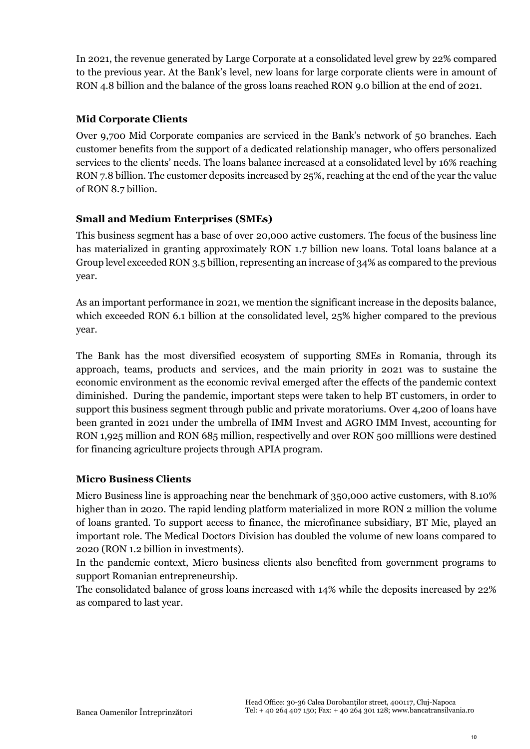In 2021, the revenue generated by Large Corporate at a consolidated level grew by 22% compared to the previous year. At the Bank's level, new loans for large corporate clients were in amount of RON 4.8 billion and the balance of the gross loans reached RON 9.0 billion at the end of 2021.

### **Mid Corporate Clients**

Over 9,700 Mid Corporate companies are serviced in the Bank's network of 50 branches. Each customer benefits from the support of a dedicated relationship manager, who offers personalized services to the clients' needs. The loans balance increased at a consolidated level by 16% reaching RON 7.8 billion. The customer deposits increased by 25%, reaching at the end of the year the value of RON 8.7 billion.

### **Small and Medium Enterprises (SMEs)**

This business segment has a base of over 20,000 active customers. The focus of the business line has materialized in granting approximately RON 1.7 billion new loans. Total loans balance at a Group level exceeded RON 3.5 billion, representing an increase of 34% as compared to the previous year.

As an important performance in 2021, we mention the significant increase in the deposits balance, which exceeded RON 6.1 billion at the consolidated level, 25% higher compared to the previous year.

The Bank has the most diversified ecosystem of supporting SMEs in Romania, through its approach, teams, products and services, and the main priority in 2021 was to sustaine the economic environment as the economic revival emerged after the effects of the pandemic context diminished. During the pandemic, important steps were taken to help BT customers, in order to support this business segment through public and private moratoriums. Over 4,200 of loans have been granted in 2021 under the umbrella of IMM Invest and AGRO IMM Invest, accounting for RON 1,925 million and RON 685 million, respectivelly and over RON 500 milllions were destined for financing agriculture projects through APIA program.

### **Micro Business Clients**

Micro Business line is approaching near the benchmark of 350,000 active customers, with 8.10% higher than in 2020. The rapid lending platform materialized in more RON 2 million the volume of loans granted. To support access to finance, the microfinance subsidiary, BT Mic, played an important role. The Medical Doctors Division has doubled the volume of new loans compared to 2020 (RON 1.2 billion in investments).

In the pandemic context, Micro business clients also benefited from government programs to support Romanian entrepreneurship.

The consolidated balance of gross loans increased with 14% while the deposits increased by 22% as compared to last year.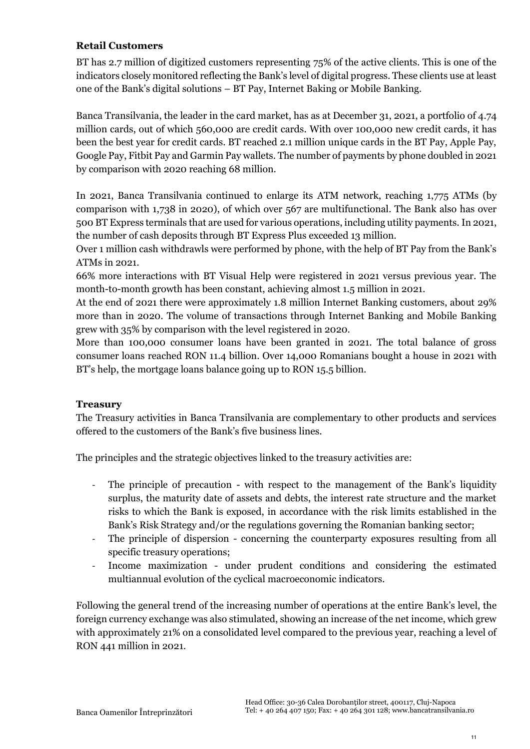### **Retail Customers**

BT has 2.7 million of digitized customers representing 75% of the active clients. This is one of the indicators closely monitored reflecting the Bank's level of digital progress. These clients use at least one of the Bank's digital solutions – BT Pay, Internet Baking or Mobile Banking.

Banca Transilvania, the leader in the card market, has as at December 31, 2021, a portfolio of 4.74 million cards, out of which 560,000 are credit cards. With over 100,000 new credit cards, it has been the best year for credit cards. BT reached 2.1 million unique cards in the BT Pay, Apple Pay, Google Pay, Fitbit Pay and Garmin Pay wallets. The number of payments by phone doubled in 2021 by comparison with 2020 reaching 68 million.

In 2021, Banca Transilvania continued to enlarge its ATM network, reaching 1,775 ATMs (by comparison with 1,738 in 2020), of which over 567 are multifunctional. The Bank also has over 500 BT Express terminals that are used for various operations, including utility payments. In 2021, the number of cash deposits through BT Express Plus exceeded 13 million.

Over 1 million cash withdrawls were performed by phone, with the help of BT Pay from the Bank's ATMs in 2021.

66% more interactions with BT Visual Help were registered in 2021 versus previous year. The month-to-month growth has been constant, achieving almost 1.5 million in 2021.

At the end of 2021 there were approximately 1.8 million Internet Banking customers, about 29% more than in 2020. The volume of transactions through Internet Banking and Mobile Banking grew with 35% by comparison with the level registered in 2020.

More than 100,000 consumer loans have been granted in 2021. The total balance of gross consumer loans reached RON 11.4 billion. Over 14,000 Romanians bought a house in 2021 with BT's help, the mortgage loans balance going up to RON 15.5 billion.

### <span id="page-10-0"></span>**Treasury**

The Treasury activities in Banca Transilvania are complementary to other products and services offered to the customers of the Bank's five business lines.

The principles and the strategic objectives linked to the treasury activities are:

- The principle of precaution with respect to the management of the Bank's liquidity surplus, the maturity date of assets and debts, the interest rate structure and the market risks to which the Bank is exposed, in accordance with the risk limits established in the Bank's Risk Strategy and/or the regulations governing the Romanian banking sector;
- The principle of dispersion concerning the counterparty exposures resulting from all specific treasury operations;
- Income maximization under prudent conditions and considering the estimated multiannual evolution of the cyclical macroeconomic indicators.

Following the general trend of the increasing number of operations at the entire Bank's level, the foreign currency exchange was also stimulated, showing an increase of the net income, which grew with approximately 21% on a consolidated level compared to the previous year, reaching a level of RON 441 million in 2021.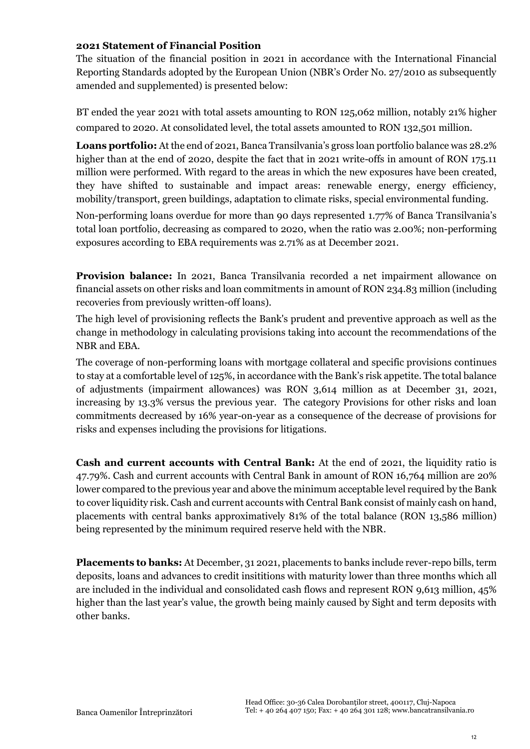### **2021 Statement of Financial Position**

The situation of the financial position in 2021 in accordance with the International Financial Reporting Standards adopted by the European Union (NBR's Order No. 27/2010 as subsequently amended and supplemented) is presented below:

BT ended the year 2021 with total assets amounting to RON 125,062 million, notably 21% higher compared to 2020. At consolidated level, the total assets amounted to RON 132,501 million.

**Loans portfolio:** At the end of 2021, Banca Transilvania's gross loan portfolio balance was 28.2% higher than at the end of 2020, despite the fact that in 2021 write-offs in amount of RON 175.11 million were performed. With regard to the areas in which the new exposures have been created, they have shifted to sustainable and impact areas: renewable energy, energy efficiency, mobility/transport, green buildings, adaptation to climate risks, special environmental funding.

Non-performing loans overdue for more than 90 days represented 1.77% of Banca Transilvania's total loan portfolio, decreasing as compared to 2020, when the ratio was 2.00%; non-performing exposures according to EBA requirements was 2.71% as at December 2021.

**Provision balance:** In 2021, Banca Transilvania recorded a net impairment allowance on financial assets on other risks and loan commitments in amount of RON 234.83 million (including recoveries from previously written-off loans).

The high level of provisioning reflects the Bank's prudent and preventive approach as well as the change in methodology in calculating provisions taking into account the recommendations of the NBR and EBA.

The coverage of non-performing loans with mortgage collateral and specific provisions continues to stay at a comfortable level of 125%, in accordance with the Bank's risk appetite. The total balance of adjustments (impairment allowances) was RON 3,614 million as at December 31, 2021, increasing by 13.3% versus the previous year. The category Provisions for other risks and loan commitments decreased by 16% year-on-year as a consequence of the decrease of provisions for risks and expenses including the provisions for litigations.

**Cash and current accounts with Central Bank:** At the end of 2021, the liquidity ratio is 47.79%. Cash and current accounts with Central Bank in amount of RON 16,764 million are 20% lower compared to the previous year and above the minimum acceptable level required by the Bank to cover liquidity risk. Cash and current accounts with Central Bank consist of mainly cash on hand, placements with central banks approximatively 81% of the total balance (RON 13,586 million) being represented by the minimum required reserve held with the NBR.

**Placements to banks:** At December, 31 2021, placements to banks include rever-repo bills, term deposits, loans and advances to credit insititions with maturity lower than three months which all are included in the individual and consolidated cash flows and represent RON 9,613 million, 45% higher than the last year's value, the growth being mainly caused by Sight and term deposits with other banks.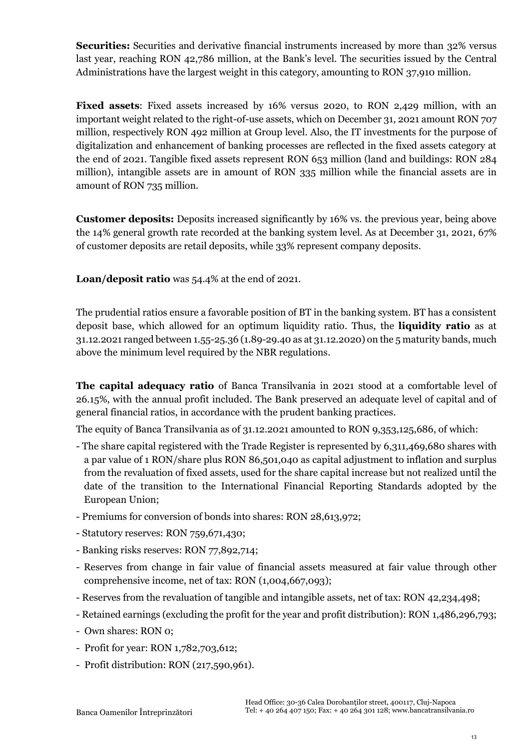**Securities:** Securities and derivative financial instruments increased by more than 32% versus last year, reaching RON 42,786 million, at the Bank's level. The securities issued by the Central Administrations have the largest weight in this category, amounting to RON 37,910 million.

**Fixed assets**: Fixed assets increased by 16% versus 2020, to RON 2,429 million, with an important weight related to the right-of-use assets, which on December 31, 2021 amount RON 707 million, respectively RON 492 million at Group level. Also, the IT investments for the purpose of digitalization and enhancement of banking processes are reflected in the fixed assets category at the end of 2021. Tangible fixed assets represent RON 653 million (land and buildings: RON 284 million), intangible assets are in amount of RON 335 million while the financial assets are in amount of RON 735 million.

**Customer deposits:** Deposits increased significantly by 16% vs. the previous year, being above the 14% general growth rate recorded at the banking system level. As at December 31, 2021, 67% of customer deposits are retail deposits, while 33% represent company deposits.

**Loan/deposit ratio** was 54.4% at the end of 2021.

The prudential ratios ensure a favorable position of BT in the banking system. BT has a consistent deposit base, which allowed for an optimum liquidity ratio. Thus, the **liquidity ratio** as at 31.12.2021 ranged between 1.55-25.36 (1.89-29.40 as at 31.12.2020) on the 5 maturity bands, much above the minimum level required by the NBR regulations.

**The capital adequacy ratio** of Banca Transilvania in 2021 stood at a comfortable level of 26.15%, with the annual profit included. The Bank preserved an adequate level of capital and of general financial ratios, in accordance with the prudent banking practices.

The equity of Banca Transilvania as of 31.12.2021 amounted to RON 9,353,125,686, of which:

- The share capital registered with the Trade Register is represented by 6,311,469,680 shares with a par value of 1 RON/share plus RON 86,501,040 as capital adjustment to inflation and surplus from the revaluation of fixed assets, used for the share capital increase but not realized until the date of the transition to the International Financial Reporting Standards adopted by the European Union;
- Premiums for conversion of bonds into shares: RON 28,613,972;
- Statutory reserves: RON 759,671,430;
- Banking risks reserves: RON 77,892,714;
- Reserves from change in fair value of financial assets measured at fair value through other comprehensive income, net of tax: RON (1,004,667,093);
- Reserves from the revaluation of tangible and intangible assets, net of tax: RON 42,234,498;
- Retained earnings (excluding the profit for the year and profit distribution): RON 1,486,296,793;
- Own shares: RON 0;
- Profit for year: RON 1,782,703,612;
- Profit distribution: RON (217,590,961).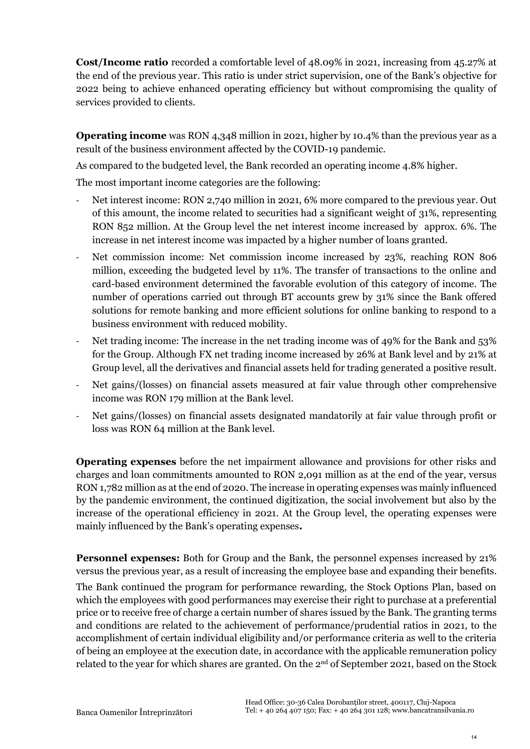**Cost/Income ratio** recorded a comfortable level of 48.09% in 2021, increasing from 45.27% at the end of the previous year. This ratio is under strict supervision, one of the Bank's objective for 2022 being to achieve enhanced operating efficiency but without compromising the quality of services provided to clients.

**Operating income** was RON 4,348 million in 2021, higher by 10.4% than the previous year as a result of the business environment affected by the COVID-19 pandemic.

As compared to the budgeted level, the Bank recorded an operating income 4.8% higher.

The most important income categories are the following:

- Net interest income: RON 2,740 million in 2021, 6% more compared to the previous year. Out of this amount, the income related to securities had a significant weight of 31%, representing RON 852 million. At the Group level the net interest income increased by approx. 6%. The increase in net interest income was impacted by a higher number of loans granted.
- Net commission income: Net commission income increased by 23%, reaching RON 806 million, exceeding the budgeted level by 11%. The transfer of transactions to the online and card-based environment determined the favorable evolution of this category of income. The number of operations carried out through BT accounts grew by 31% since the Bank offered solutions for remote banking and more efficient solutions for online banking to respond to a business environment with reduced mobility.
- Net trading income: The increase in the net trading income was of 49% for the Bank and 53% for the Group. Although FX net trading income increased by 26% at Bank level and by 21% at Group level, all the derivatives and financial assets held for trading generated a positive result.
- Net gains/(losses) on financial assets measured at fair value through other comprehensive income was RON 179 million at the Bank level.
- Net gains/(losses) on financial assets designated mandatorily at fair value through profit or loss was RON 64 million at the Bank level.

**Operating expenses** before the net impairment allowance and provisions for other risks and charges and loan commitments amounted to RON 2,091 million as at the end of the year, versus RON 1,782 million as at the end of 2020. The increase in operating expenses was mainly influenced by the pandemic environment, the continued digitization, the social involvement but also by the increase of the operational efficiency in 2021. At the Group level, the operating expenses were mainly influenced by the Bank's operating expenses**.**

**Personnel expenses:** Both for Group and the Bank, the personnel expenses increased by 21% versus the previous year, as a result of increasing the employee base and expanding their benefits.

The Bank continued the program for performance rewarding, the Stock Options Plan, based on which the employees with good performances may exercise their right to purchase at a preferential price or to receive free of charge a certain number of shares issued by the Bank. The granting terms and conditions are related to the achievement of performance/prudential ratios in 2021, to the accomplishment of certain individual eligibility and/or performance criteria as well to the criteria of being an employee at the execution date, in accordance with the applicable remuneration policy related to the year for which shares are granted. On the  $2<sup>nd</sup>$  of September 2021, based on the Stock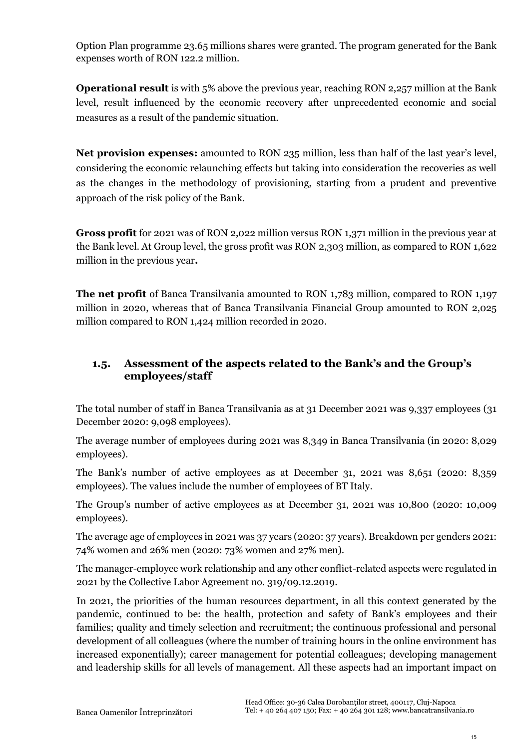Option Plan programme 23.65 millions shares were granted. The program generated for the Bank expenses worth of RON 122.2 million.

**Operational result** is with 5% above the previous year, reaching RON 2,257 million at the Bank level, result influenced by the economic recovery after unprecedented economic and social measures as a result of the pandemic situation.

**Net provision expenses:** amounted to RON 235 million, less than half of the last year's level, considering the economic relaunching effects but taking into consideration the recoveries as well as the changes in the methodology of provisioning, starting from a prudent and preventive approach of the risk policy of the Bank.

**Gross profit** for 2021 was of RON 2,022 million versus RON 1,371 million in the previous year at the Bank level. At Group level, the gross profit was RON 2,303 million, as compared to RON 1,622 million in the previous year**.**

**The net profit** of Banca Transilvania amounted to RON 1,783 million, compared to RON 1,197 million in 2020, whereas that of Banca Transilvania Financial Group amounted to RON 2,025 million compared to RON 1,424 million recorded in 2020.

### <span id="page-14-0"></span>**1.5. Assessment of the aspects related to the Bank's and the Group's employees/staff**

The total number of staff in Banca Transilvania as at 31 December 2021 was 9,337 employees (31 December 2020: 9,098 employees).

The average number of employees during 2021 was 8,349 in Banca Transilvania (in 2020: 8,029 employees).

The Bank's number of active employees as at December 31, 2021 was 8,651 (2020: 8,359 employees). The values include the number of employees of BT Italy.

The Group's number of active employees as at December 31, 2021 was 10,800 (2020: 10,009 employees).

The average age of employees in 2021 was 37 years (2020: 37 years). Breakdown per genders 2021: 74% women and 26% men (2020: 73% women and 27% men).

The manager-employee work relationship and any other conflict-related aspects were regulated in 2021 by the Collective Labor Agreement no. 319/09.12.2019.

In 2021, the priorities of the human resources department, in all this context generated by the pandemic, continued to be: the health, protection and safety of Bank's employees and their families; quality and timely selection and recruitment; the continuous professional and personal development of all colleagues (where the number of training hours in the online environment has increased exponentially); career management for potential colleagues; developing management and leadership skills for all levels of management. All these aspects had an important impact on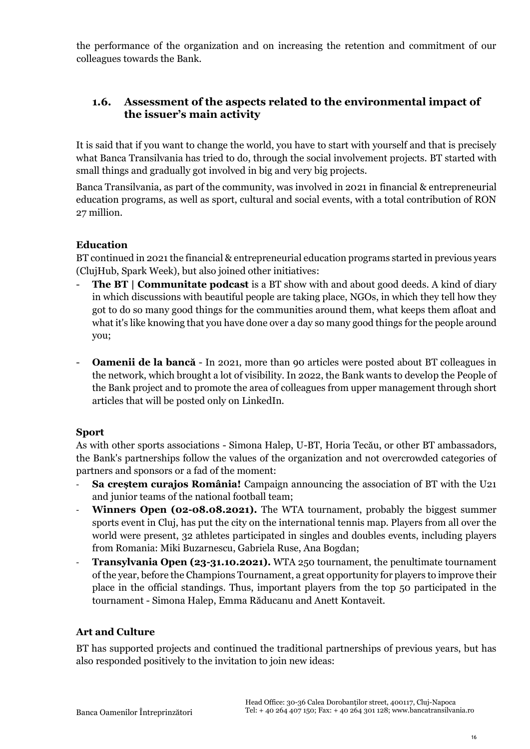the performance of the organization and on increasing the retention and commitment of our colleagues towards the Bank.

### <span id="page-15-0"></span>**1.6. Assessment of the aspects related to the environmental impact of the issuer's main activity**

It is said that if you want to change the world, you have to start with yourself and that is precisely what Banca Transilvania has tried to do, through the social involvement projects. BT started with small things and gradually got involved in big and very big projects.

Banca Transilvania, as part of the community, was involved in 2021 in financial & entrepreneurial education programs, as well as sport, cultural and social events, with a total contribution of RON 27 million.

### **Education**

BT continued in 2021 the financial & entrepreneurial education programs started in previous years (ClujHub, Spark Week), but also joined other initiatives:

- **The BT | Communitate podcast** is a BT show with and about good deeds. A kind of diary in which discussions with beautiful people are taking place, NGOs, in which they tell how they got to do so many good things for the communities around them, what keeps them afloat and what it's like knowing that you have done over a day so many good things for the people around you;
- **Oamenii de la bancă** In 2021, more than 90 articles were posted about BT colleagues in the network, which brought a lot of visibility. In 2022, the Bank wants to develop the People of the Bank project and to promote the area of colleagues from upper management through short articles that will be posted only on LinkedIn.

### **Sport**

As with other sports associations - Simona Halep, U-BT, Horia Tecău, or other BT ambassadors, the Bank's partnerships follow the values of the organization and not overcrowded categories of partners and sponsors or a fad of the moment:

- **Sa creștem curajos România!** Campaign announcing the association of BT with the U21 and junior teams of the national football team;
- **Winners Open (02-08.08.2021).** The WTA tournament, probably the biggest summer sports event in Cluj, has put the city on the international tennis map. Players from all over the world were present, 32 athletes participated in singles and doubles events, including players from Romania: Miki Buzarnescu, Gabriela Ruse, Ana Bogdan;
- **Transylvania Open (23-31.10.2021).** WTA 250 tournament, the penultimate tournament of the year, before the Champions Tournament, a great opportunity for players to improve their place in the official standings. Thus, important players from the top 50 participated in the tournament - Simona Halep, Emma Răducanu and Anett Kontaveit.

### **Art and Culture**

BT has supported projects and continued the traditional partnerships of previous years, but has also responded positively to the invitation to join new ideas: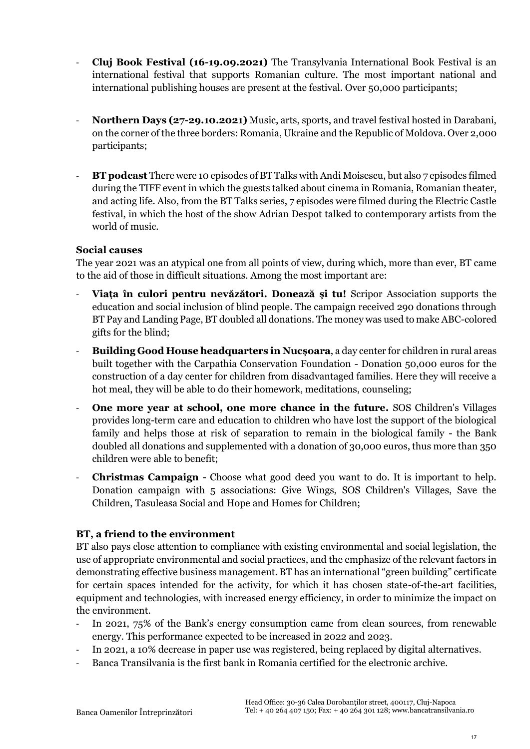- **Cluj Book Festival (16-19.09.2021)** The Transylvania International Book Festival is an international festival that supports Romanian culture. The most important national and international publishing houses are present at the festival. Over 50,000 participants;
- **Northern Days (27-29.10.2021)** Music, arts, sports, and travel festival hosted in Darabani, on the corner of the three borders: Romania, Ukraine and the Republic of Moldova. Over 2,000 participants;
- **BT podcast** There were 10 episodes of BT Talks with Andi Moisescu, but also 7 episodes filmed during the TIFF event in which the guests talked about cinema in Romania, Romanian theater, and acting life. Also, from the BT Talks series, 7 episodes were filmed during the Electric Castle festival, in which the host of the show Adrian Despot talked to contemporary artists from the world of music.

### **Social causes**

The year 2021 was an atypical one from all points of view, during which, more than ever, BT came to the aid of those in difficult situations. Among the most important are:

- **Viața în culori pentru nevăzători. Donează și tu!** Scripor Association supports the education and social inclusion of blind people. The campaign received 290 donations through BT Pay and Landing Page, BT doubled all donations. The money was used to make ABC-colored gifts for the blind;
- **Building Good House headquarters in Nucșoara**, a day center for children in rural areas built together with the Carpathia Conservation Foundation - Donation 50,000 euros for the construction of a day center for children from disadvantaged families. Here they will receive a hot meal, they will be able to do their homework, meditations, counseling;
- **One more year at school, one more chance in the future.** SOS Children's Villages provides long-term care and education to children who have lost the support of the biological family and helps those at risk of separation to remain in the biological family - the Bank doubled all donations and supplemented with a donation of 30,000 euros, thus more than 350 children were able to benefit;
- **Christmas Campaign** Choose what good deed you want to do. It is important to help. Donation campaign with 5 associations: Give Wings, SOS Children's Villages, Save the Children, Tasuleasa Social and Hope and Homes for Children;

### **BT, a friend to the environment**

BT also pays close attention to compliance with existing environmental and social legislation, the use of appropriate environmental and social practices, and the emphasize of the relevant factors in demonstrating effective business management. BT has an international "green building" certificate for certain spaces intended for the activity, for which it has chosen state-of-the-art facilities, equipment and technologies, with increased energy efficiency, in order to minimize the impact on the environment.

- In 2021, 75% of the Bank's energy consumption came from clean sources, from renewable energy. This performance expected to be increased in 2022 and 2023.
- In 2021, a 10% decrease in paper use was registered, being replaced by digital alternatives.
- Banca Transilvania is the first bank in Romania certified for the electronic archive.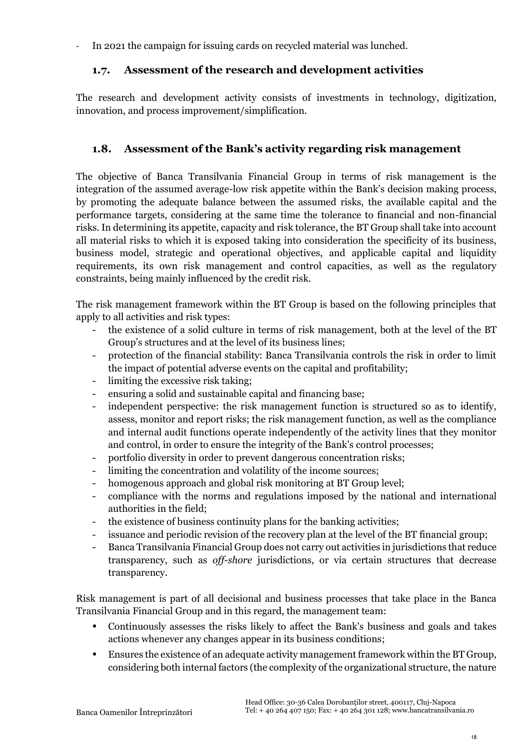<span id="page-17-0"></span>- In 2021 the campaign for issuing cards on recycled material was lunched.

### **1.7. Assessment of the research and development activities**

The research and development activity consists of investments in technology, digitization, innovation, and process improvement/simplification.

### <span id="page-17-1"></span>**1.8. Assessment of the Bank's activity regarding risk management**

The objective of Banca Transilvania Financial Group in terms of risk management is the integration of the assumed average-low risk appetite within the Bank's decision making process, by promoting the adequate balance between the assumed risks, the available capital and the performance targets, considering at the same time the tolerance to financial and non-financial risks. In determining its appetite, capacity and risk tolerance, the BT Group shall take into account all material risks to which it is exposed taking into consideration the specificity of its business, business model, strategic and operational objectives, and applicable capital and liquidity requirements, its own risk management and control capacities, as well as the regulatory constraints, being mainly influenced by the credit risk.

The risk management framework within the BT Group is based on the following principles that apply to all activities and risk types:

- the existence of a solid culture in terms of risk management, both at the level of the BT Group's structures and at the level of its business lines;
- protection of the financial stability: Banca Transilvania controls the risk in order to limit the impact of potential adverse events on the capital and profitability;
- limiting the excessive risk taking;
- ensuring a solid and sustainable capital and financing base;
- independent perspective: the risk management function is structured so as to identify, assess, monitor and report risks; the risk management function, as well as the compliance and internal audit functions operate independently of the activity lines that they monitor and control, in order to ensure the integrity of the Bank's control processes;
- portfolio diversity in order to prevent dangerous concentration risks;
- limiting the concentration and volatility of the income sources;
- homogenous approach and global risk monitoring at BT Group level;
- compliance with the norms and regulations imposed by the national and international authorities in the field;
- the existence of business continuity plans for the banking activities;
- issuance and periodic revision of the recovery plan at the level of the BT financial group;
- Banca Transilvania Financial Group does not carry out activities in jurisdictions that reduce transparency, such as *off-shore* jurisdictions, or via certain structures that decrease transparency.

Risk management is part of all decisional and business processes that take place in the Banca Transilvania Financial Group and in this regard, the management team:

- Continuously assesses the risks likely to affect the Bank's business and goals and takes actions whenever any changes appear in its business conditions;
- Ensures the existence of an adequate activity management framework within the BT Group, considering both internal factors (the complexity of the organizational structure, the nature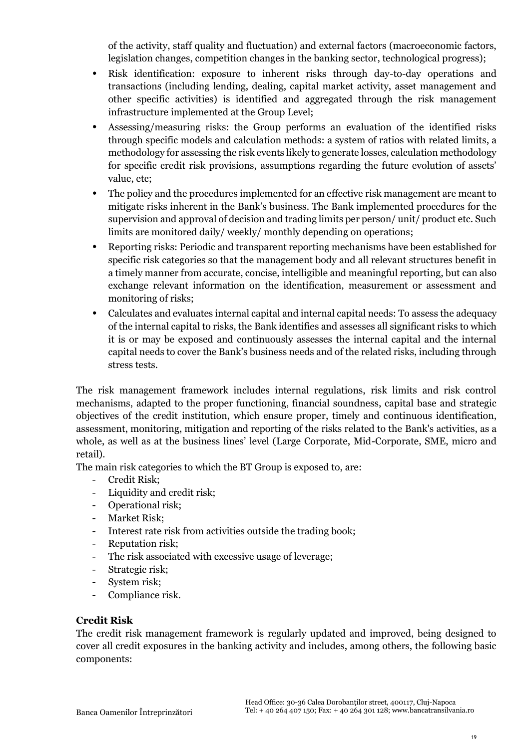of the activity, staff quality and fluctuation) and external factors (macroeconomic factors, legislation changes, competition changes in the banking sector, technological progress);

- Risk identification: exposure to inherent risks through day-to-day operations and transactions (including lending, dealing, capital market activity, asset management and other specific activities) is identified and aggregated through the risk management infrastructure implemented at the Group Level;
- Assessing/measuring risks: the Group performs an evaluation of the identified risks through specific models and calculation methods: a system of ratios with related limits, a methodology for assessing the risk events likely to generate losses, calculation methodology for specific credit risk provisions, assumptions regarding the future evolution of assets' value, etc;
- The policy and the procedures implemented for an effective risk management are meant to mitigate risks inherent in the Bank's business. The Bank implemented procedures for the supervision and approval of decision and trading limits per person/ unit/ product etc. Such limits are monitored daily/ weekly/ monthly depending on operations;
- Reporting risks: Periodic and transparent reporting mechanisms have been established for specific risk categories so that the management body and all relevant structures benefit in a timely manner from accurate, concise, intelligible and meaningful reporting, but can also exchange relevant information on the identification, measurement or assessment and monitoring of risks;
- Calculates and evaluates internal capital and internal capital needs: To assess the adequacy of the internal capital to risks, the Bank identifies and assesses all significant risks to which it is or may be exposed and continuously assesses the internal capital and the internal capital needs to cover the Bank's business needs and of the related risks, including through stress tests.

The risk management framework includes internal regulations, risk limits and risk control mechanisms, adapted to the proper functioning, financial soundness, capital base and strategic objectives of the credit institution, which ensure proper, timely and continuous identification, assessment, monitoring, mitigation and reporting of the risks related to the Bank's activities, as a whole, as well as at the business lines' level (Large Corporate, Mid-Corporate, SME, micro and retail).

The main risk categories to which the BT Group is exposed to, are:

- Credit Risk;
- Liquidity and credit risk;
- Operational risk;
- Market Risk;
- Interest rate risk from activities outside the trading book;
- Reputation risk;
- The risk associated with excessive usage of leverage;
- Strategic risk;
- System risk;
- Compliance risk.

### **Credit Risk**

The credit risk management framework is regularly updated and improved, being designed to cover all credit exposures in the banking activity and includes, among others, the following basic components: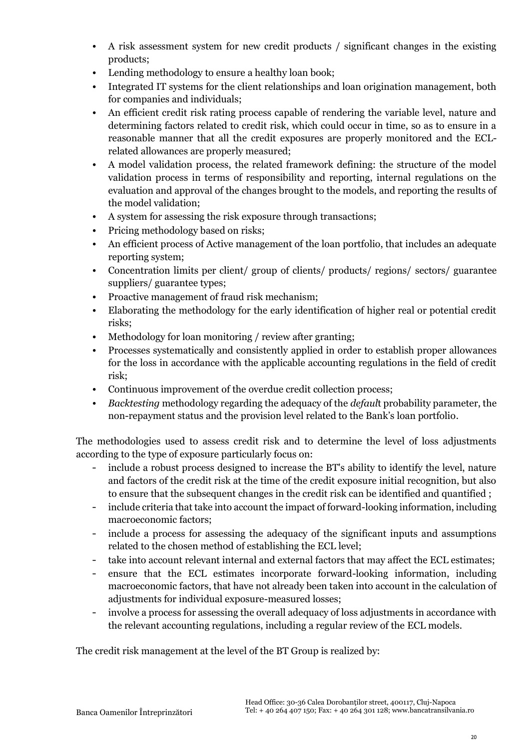- A risk assessment system for new credit products / significant changes in the existing products;
- Lending methodology to ensure a healthy loan book;
- Integrated IT systems for the client relationships and loan origination management, both for companies and individuals;
- An efficient credit risk rating process capable of rendering the variable level, nature and determining factors related to credit risk, which could occur in time, so as to ensure in a reasonable manner that all the credit exposures are properly monitored and the ECLrelated allowances are properly measured;
- A model validation process, the related framework defining: the structure of the model validation process in terms of responsibility and reporting, internal regulations on the evaluation and approval of the changes brought to the models, and reporting the results of the model validation;
- A system for assessing the risk exposure through transactions;
- Pricing methodology based on risks;
- An efficient process of Active management of the loan portfolio, that includes an adequate reporting system;
- Concentration limits per client/ group of clients/ products/ regions/ sectors/ guarantee suppliers/ guarantee types;
- Proactive management of fraud risk mechanism;
- Elaborating the methodology for the early identification of higher real or potential credit risks;
- Methodology for loan monitoring / review after granting;
- Processes systematically and consistently applied in order to establish proper allowances for the loss in accordance with the applicable accounting regulations in the field of credit risk;
- Continuous improvement of the overdue credit collection process;
- *Backtesting* methodology regarding the adequacy of the *defaul*t probability parameter, the non-repayment status and the provision level related to the Bank's loan portfolio.

The methodologies used to assess credit risk and to determine the level of loss adjustments according to the type of exposure particularly focus on:

- include a robust process designed to increase the BT's ability to identify the level, nature and factors of the credit risk at the time of the credit exposure initial recognition, but also to ensure that the subsequent changes in the credit risk can be identified and quantified ;
- include criteria that take into account the impact of forward-looking information, including macroeconomic factors;
- include a process for assessing the adequacy of the significant inputs and assumptions related to the chosen method of establishing the ECL level;
- take into account relevant internal and external factors that may affect the ECL estimates;
- ensure that the ECL estimates incorporate forward-looking information, including macroeconomic factors, that have not already been taken into account in the calculation of adjustments for individual exposure-measured losses;
- involve a process for assessing the overall adequacy of loss adjustments in accordance with the relevant accounting regulations, including a regular review of the ECL models.

The credit risk management at the level of the BT Group is realized by: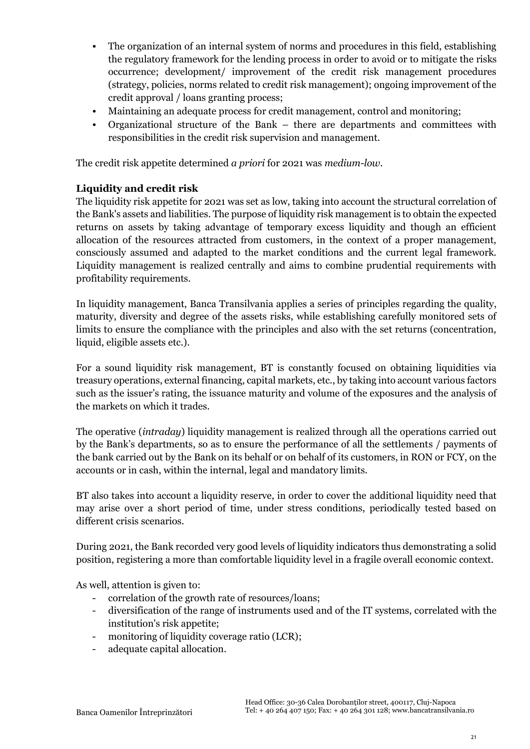- The organization of an internal system of norms and procedures in this field, establishing the regulatory framework for the lending process in order to avoid or to mitigate the risks occurrence; development/ improvement of the credit risk management procedures (strategy, policies, norms related to credit risk management); ongoing improvement of the credit approval / loans granting process;
- Maintaining an adequate process for credit management, control and monitoring;
- Organizational structure of the Bank there are departments and committees with responsibilities in the credit risk supervision and management.

The credit risk appetite determined *a priori* for 2021 was *medium-low*.

### **Liquidity and credit risk**

The liquidity risk appetite for 2021 was set as low, taking into account the structural correlation of the Bank's assets and liabilities. The purpose of liquidity risk management is to obtain the expected returns on assets by taking advantage of temporary excess liquidity and though an efficient allocation of the resources attracted from customers, in the context of a proper management, consciously assumed and adapted to the market conditions and the current legal framework. Liquidity management is realized centrally and aims to combine prudential requirements with profitability requirements.

In liquidity management, Banca Transilvania applies a series of principles regarding the quality, maturity, diversity and degree of the assets risks, while establishing carefully monitored sets of limits to ensure the compliance with the principles and also with the set returns (concentration, liquid, eligible assets etc.).

For a sound liquidity risk management, BT is constantly focused on obtaining liquidities via treasury operations, external financing, capital markets, etc., by taking into account various factors such as the issuer's rating, the issuance maturity and volume of the exposures and the analysis of the markets on which it trades.

The operative (*intraday*) liquidity management is realized through all the operations carried out by the Bank's departments, so as to ensure the performance of all the settlements / payments of the bank carried out by the Bank on its behalf or on behalf of its customers, in RON or FCY, on the accounts or in cash, within the internal, legal and mandatory limits.

BT also takes into account a liquidity reserve, in order to cover the additional liquidity need that may arise over a short period of time, under stress conditions, periodically tested based on different crisis scenarios.

During 2021, the Bank recorded very good levels of liquidity indicators thus demonstrating a solid position, registering a more than comfortable liquidity level in a fragile overall economic context.

As well, attention is given to:

- correlation of the growth rate of resources/loans;
- diversification of the range of instruments used and of the IT systems, correlated with the institution's risk appetite;
- monitoring of liquidity coverage ratio (LCR);
- adequate capital allocation.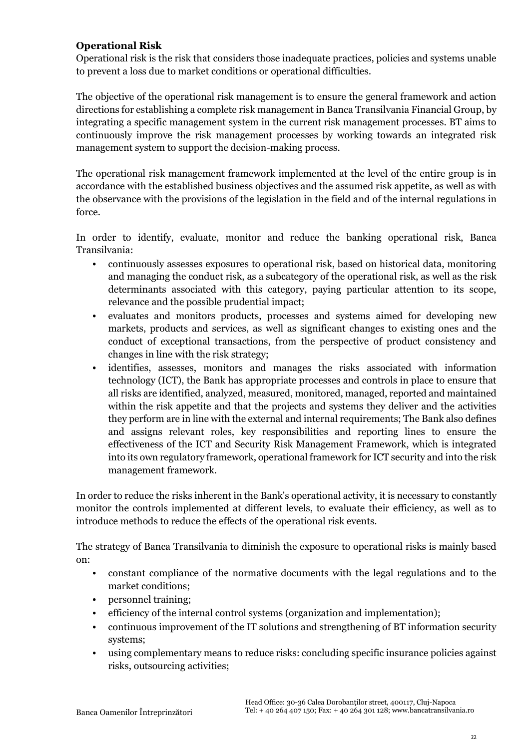### **Operational Risk**

Operational risk is the risk that considers those inadequate practices, policies and systems unable to prevent a loss due to market conditions or operational difficulties.

The objective of the operational risk management is to ensure the general framework and action directions for establishing a complete risk management in Banca Transilvania Financial Group, by integrating a specific management system in the current risk management processes. BT aims to continuously improve the risk management processes by working towards an integrated risk management system to support the decision-making process.

The operational risk management framework implemented at the level of the entire group is in accordance with the established business objectives and the assumed risk appetite, as well as with the observance with the provisions of the legislation in the field and of the internal regulations in force.

In order to identify, evaluate, monitor and reduce the banking operational risk, Banca Transilvania:

- continuously assesses exposures to operational risk, based on historical data, monitoring and managing the conduct risk, as a subcategory of the operational risk, as well as the risk determinants associated with this category, paying particular attention to its scope, relevance and the possible prudential impact;
- evaluates and monitors products, processes and systems aimed for developing new markets, products and services, as well as significant changes to existing ones and the conduct of exceptional transactions, from the perspective of product consistency and changes in line with the risk strategy;
- identifies, assesses, monitors and manages the risks associated with information technology (ICT), the Bank has appropriate processes and controls in place to ensure that all risks are identified, analyzed, measured, monitored, managed, reported and maintained within the risk appetite and that the projects and systems they deliver and the activities they perform are in line with the external and internal requirements; The Bank also defines and assigns relevant roles, key responsibilities and reporting lines to ensure the effectiveness of the ICT and Security Risk Management Framework, which is integrated into its own regulatory framework, operational framework for ICT security and into the risk management framework.

In order to reduce the risks inherent in the Bank's operational activity, it is necessary to constantly monitor the controls implemented at different levels, to evaluate their efficiency, as well as to introduce methods to reduce the effects of the operational risk events.

The strategy of Banca Transilvania to diminish the exposure to operational risks is mainly based on:

- constant compliance of the normative documents with the legal regulations and to the market conditions;
- personnel training;
- efficiency of the internal control systems (organization and implementation);
- continuous improvement of the IT solutions and strengthening of BT information security systems;
- using complementary means to reduce risks: concluding specific insurance policies against risks, outsourcing activities;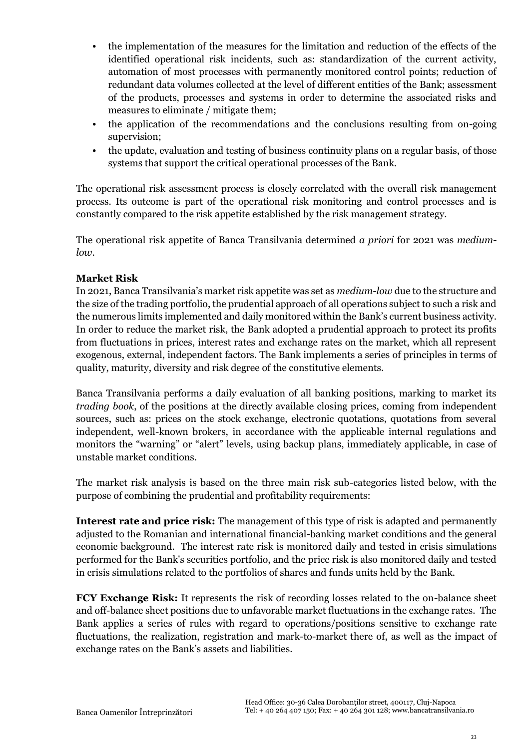- the implementation of the measures for the limitation and reduction of the effects of the identified operational risk incidents, such as: standardization of the current activity, automation of most processes with permanently monitored control points; reduction of redundant data volumes collected at the level of different entities of the Bank; assessment of the products, processes and systems in order to determine the associated risks and measures to eliminate / mitigate them;
- the application of the recommendations and the conclusions resulting from on-going supervision;
- the update, evaluation and testing of business continuity plans on a regular basis, of those systems that support the critical operational processes of the Bank.

The operational risk assessment process is closely correlated with the overall risk management process. Its outcome is part of the operational risk monitoring and control processes and is constantly compared to the risk appetite established by the risk management strategy.

The operational risk appetite of Banca Transilvania determined *a priori* for 2021 was *mediumlow*.

### **Market Risk**

In 2021, Banca Transilvania's market risk appetite was set as *medium-low* due to the structure and the size of the trading portfolio, the prudential approach of all operations subject to such a risk and the numerous limits implemented and daily monitored within the Bank's current business activity. In order to reduce the market risk, the Bank adopted a prudential approach to protect its profits from fluctuations in prices, interest rates and exchange rates on the market, which all represent exogenous, external, independent factors. The Bank implements a series of principles in terms of quality, maturity, diversity and risk degree of the constitutive elements.

Banca Transilvania performs a daily evaluation of all banking positions, marking to market its *trading book*, of the positions at the directly available closing prices, coming from independent sources, such as: prices on the stock exchange, electronic quotations, quotations from several independent, well-known brokers, in accordance with the applicable internal regulations and monitors the "warning" or "alert" levels, using backup plans, immediately applicable, in case of unstable market conditions.

The market risk analysis is based on the three main risk sub-categories listed below, with the purpose of combining the prudential and profitability requirements:

**Interest rate and price risk:** The management of this type of risk is adapted and permanently adjusted to the Romanian and international financial-banking market conditions and the general economic background. The interest rate risk is monitored daily and tested in crisis simulations performed for the Bank's securities portfolio, and the price risk is also monitored daily and tested in crisis simulations related to the portfolios of shares and funds units held by the Bank.

**FCY Exchange Risk:** It represents the risk of recording losses related to the on-balance sheet and off-balance sheet positions due to unfavorable market fluctuations in the exchange rates. The Bank applies a series of rules with regard to operations/positions sensitive to exchange rate fluctuations, the realization, registration and mark-to-market there of, as well as the impact of exchange rates on the Bank's assets and liabilities.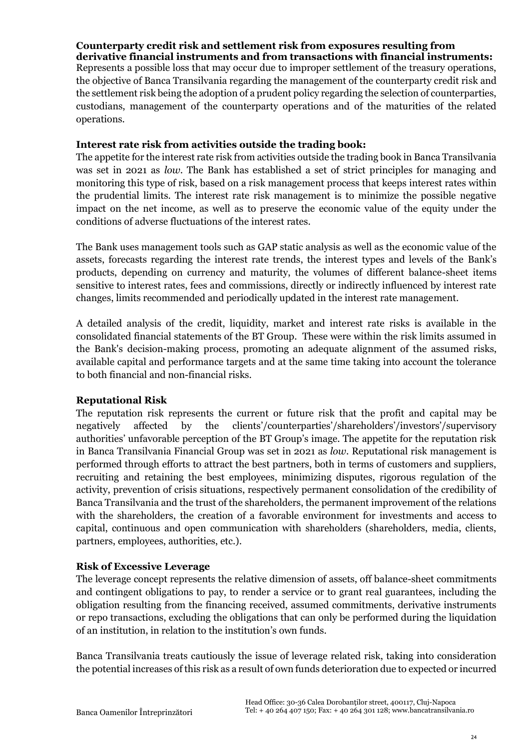# **Counterparty credit risk and settlement risk from exposures resulting from**

**derivative financial instruments and from transactions with financial instruments:**  Represents a possible loss that may occur due to improper settlement of the treasury operations, the objective of Banca Transilvania regarding the management of the counterparty credit risk and the settlement risk being the adoption of a prudent policy regarding the selection of counterparties, custodians, management of the counterparty operations and of the maturities of the related operations.

### **Interest rate risk from activities outside the trading book:**

The appetite for the interest rate risk from activities outside the trading book in Banca Transilvania was set in 2021 as *low*. The Bank has established a set of strict principles for managing and monitoring this type of risk, based on a risk management process that keeps interest rates within the prudential limits. The interest rate risk management is to minimize the possible negative impact on the net income, as well as to preserve the economic value of the equity under the conditions of adverse fluctuations of the interest rates.

The Bank uses management tools such as GAP static analysis as well as the economic value of the assets, forecasts regarding the interest rate trends, the interest types and levels of the Bank's products, depending on currency and maturity, the volumes of different balance-sheet items sensitive to interest rates, fees and commissions, directly or indirectly influenced by interest rate changes, limits recommended and periodically updated in the interest rate management.

A detailed analysis of the credit, liquidity, market and interest rate risks is available in the consolidated financial statements of the BT Group. These were within the risk limits assumed in the Bank's decision-making process, promoting an adequate alignment of the assumed risks, available capital and performance targets and at the same time taking into account the tolerance to both financial and non-financial risks.

### **Reputational Risk**

The reputation risk represents the current or future risk that the profit and capital may be negatively affected by the clients'/counterparties'/shareholders'/investors'/supervisory authorities' unfavorable perception of the BT Group's image. The appetite for the reputation risk in Banca Transilvania Financial Group was set in 2021 as *low*. Reputational risk management is performed through efforts to attract the best partners, both in terms of customers and suppliers, recruiting and retaining the best employees, minimizing disputes, rigorous regulation of the activity, prevention of crisis situations, respectively permanent consolidation of the credibility of Banca Transilvania and the trust of the shareholders, the permanent improvement of the relations with the shareholders, the creation of a favorable environment for investments and access to capital, continuous and open communication with shareholders (shareholders, media, clients, partners, employees, authorities, etc.).

### **Risk of Excessive Leverage**

The leverage concept represents the relative dimension of assets, off balance-sheet commitments and contingent obligations to pay, to render a service or to grant real guarantees, including the obligation resulting from the financing received, assumed commitments, derivative instruments or repo transactions, excluding the obligations that can only be performed during the liquidation of an institution, in relation to the institution's own funds.

Banca Transilvania treats cautiously the issue of leverage related risk, taking into consideration the potential increases of this risk as a result of own funds deterioration due to expected or incurred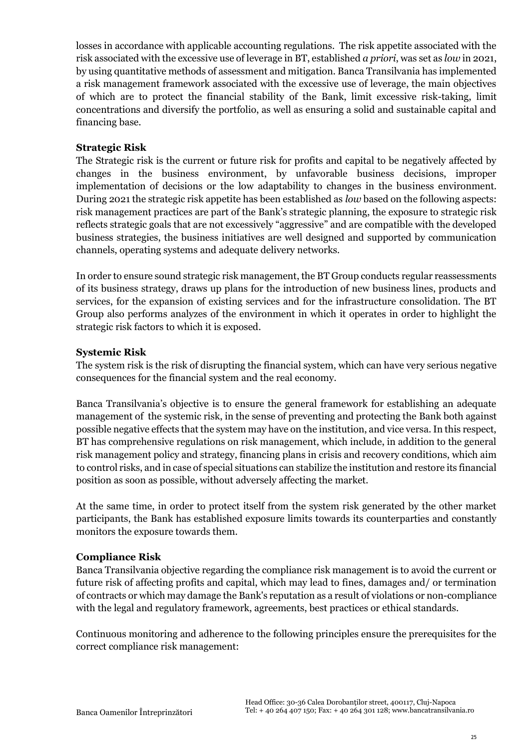losses in accordance with applicable accounting regulations. The risk appetite associated with the risk associated with the excessive use of leverage in BT, established *a priori*, was set as *low* in 2021, by using quantitative methods of assessment and mitigation. Banca Transilvania has implemented a risk management framework associated with the excessive use of leverage, the main objectives of which are to protect the financial stability of the Bank, limit excessive risk-taking, limit concentrations and diversify the portfolio, as well as ensuring a solid and sustainable capital and financing base.

### **Strategic Risk**

The Strategic risk is the current or future risk for profits and capital to be negatively affected by changes in the business environment, by unfavorable business decisions, improper implementation of decisions or the low adaptability to changes in the business environment. During 2021 the strategic risk appetite has been established as *low* based on the following aspects: risk management practices are part of the Bank's strategic planning, the exposure to strategic risk reflects strategic goals that are not excessively "aggressive" and are compatible with the developed business strategies, the business initiatives are well designed and supported by communication channels, operating systems and adequate delivery networks.

In order to ensure sound strategic risk management, the BT Group conducts regular reassessments of its business strategy, draws up plans for the introduction of new business lines, products and services, for the expansion of existing services and for the infrastructure consolidation. The BT Group also performs analyzes of the environment in which it operates in order to highlight the strategic risk factors to which it is exposed.

### **Systemic Risk**

The system risk is the risk of disrupting the financial system, which can have very serious negative consequences for the financial system and the real economy.

Banca Transilvania's objective is to ensure the general framework for establishing an adequate management of the systemic risk, in the sense of preventing and protecting the Bank both against possible negative effects that the system may have on the institution, and vice versa. In this respect, BT has comprehensive regulations on risk management, which include, in addition to the general risk management policy and strategy, financing plans in crisis and recovery conditions, which aim to control risks, and in case of special situations can stabilize the institution and restore its financial position as soon as possible, without adversely affecting the market.

At the same time, in order to protect itself from the system risk generated by the other market participants, the Bank has established exposure limits towards its counterparties and constantly monitors the exposure towards them.

### **Compliance Risk**

Banca Transilvania objective regarding the compliance risk management is to avoid the current or future risk of affecting profits and capital, which may lead to fines, damages and/ or termination of contracts or which may damage the Bank's reputation as a result of violations or non-compliance with the legal and regulatory framework, agreements, best practices or ethical standards.

Continuous monitoring and adherence to the following principles ensure the prerequisites for the correct compliance risk management: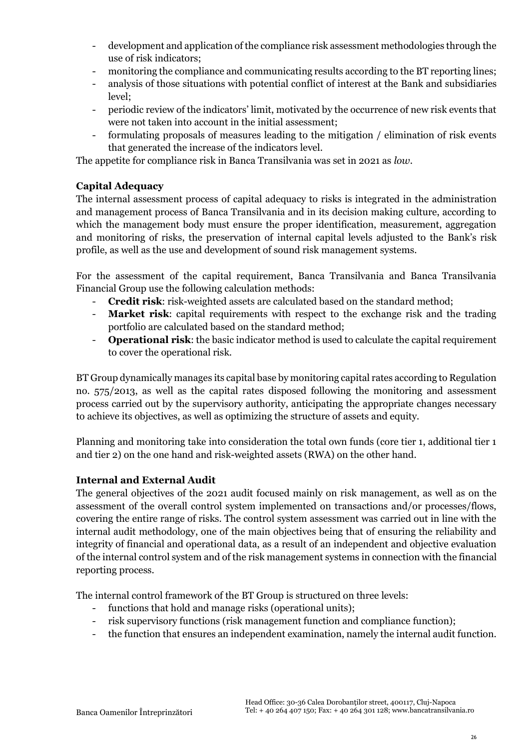- development and application of the compliance risk assessment methodologies through the use of risk indicators;
- monitoring the compliance and communicating results according to the BT reporting lines;
- analysis of those situations with potential conflict of interest at the Bank and subsidiaries level;
- periodic review of the indicators' limit, motivated by the occurrence of new risk events that were not taken into account in the initial assessment;
- formulating proposals of measures leading to the mitigation / elimination of risk events that generated the increase of the indicators level.

The appetite for compliance risk in Banca Transilvania was set in 2021 as *low*.

### **Capital Adequacy**

The internal assessment process of capital adequacy to risks is integrated in the administration and management process of Banca Transilvania and in its decision making culture, according to which the management body must ensure the proper identification, measurement, aggregation and monitoring of risks, the preservation of internal capital levels adjusted to the Bank's risk profile, as well as the use and development of sound risk management systems.

For the assessment of the capital requirement, Banca Transilvania and Banca Transilvania Financial Group use the following calculation methods:

- **Credit risk**: risk-weighted assets are calculated based on the standard method;
- **Market risk**: capital requirements with respect to the exchange risk and the trading portfolio are calculated based on the standard method;
- **Operational risk**: the basic indicator method is used to calculate the capital requirement to cover the operational risk.

BT Group dynamically manages its capital base by monitoring capital rates according to Regulation no. 575/2013, as well as the capital rates disposed following the monitoring and assessment process carried out by the supervisory authority, anticipating the appropriate changes necessary to achieve its objectives, as well as optimizing the structure of assets and equity.

Planning and monitoring take into consideration the total own funds (core tier 1, additional tier 1 and tier 2) on the one hand and risk-weighted assets (RWA) on the other hand.

### **Internal and External Audit**

The general objectives of the 2021 audit focused mainly on risk management, as well as on the assessment of the overall control system implemented on transactions and/or processes/flows, covering the entire range of risks. The control system assessment was carried out in line with the internal audit methodology, one of the main objectives being that of ensuring the reliability and integrity of financial and operational data, as a result of an independent and objective evaluation of the internal control system and of the risk management systems in connection with the financial reporting process.

The internal control framework of the BT Group is structured on three levels:

- functions that hold and manage risks (operational units);
- risk supervisory functions (risk management function and compliance function);
- the function that ensures an independent examination, namely the internal audit function.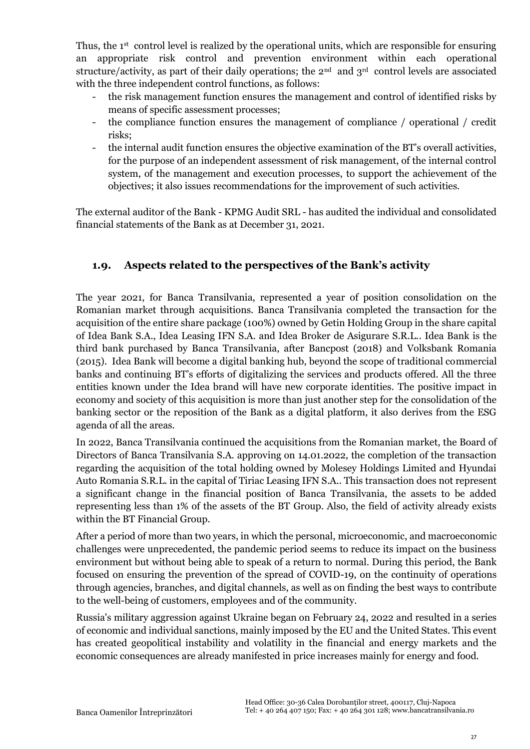Thus, the 1<sup>st</sup> control level is realized by the operational units, which are responsible for ensuring an appropriate risk control and prevention environment within each operational structure/activity, as part of their daily operations; the  $2<sup>nd</sup>$  and  $3<sup>rd</sup>$  control levels are associated with the three independent control functions, as follows:

- the risk management function ensures the management and control of identified risks by means of specific assessment processes;
- the compliance function ensures the management of compliance / operational / credit risks;
- the internal audit function ensures the objective examination of the BT's overall activities, for the purpose of an independent assessment of risk management, of the internal control system, of the management and execution processes, to support the achievement of the objectives; it also issues recommendations for the improvement of such activities.

The external auditor of the Bank - KPMG Audit SRL - has audited the individual and consolidated financial statements of the Bank as at December 31, 2021.

### <span id="page-26-0"></span>**1.9. Aspects related to the perspectives of the Bank's activity**

The year 2021, for Banca Transilvania, represented a year of position consolidation on the Romanian market through acquisitions. Banca Transilvania completed the transaction for the acquisition of the entire share package (100%) owned by Getin Holding Group in the share capital of Idea Bank S.A., Idea Leasing IFN S.A. and Idea Broker de Asigurare S.R.L.. Idea Bank is the third bank purchased by Banca Transilvania, after Bancpost (2018) and Volksbank Romania (2015). Idea Bank will become a digital banking hub, beyond the scope of traditional commercial banks and continuing BT's efforts of digitalizing the services and products offered. All the three entities known under the Idea brand will have new corporate identities. The positive impact in economy and society of this acquisition is more than just another step for the consolidation of the banking sector or the reposition of the Bank as a digital platform, it also derives from the ESG agenda of all the areas.

In 2022, Banca Transilvania continued the acquisitions from the Romanian market, the Board of Directors of Banca Transilvania S.A. approving on 14.01.2022, the completion of the transaction regarding the acquisition of the total holding owned by Molesey Holdings Limited and Hyundai Auto Romania S.R.L. in the capital of Tiriac Leasing IFN S.A.. This transaction does not represent a significant change in the financial position of Banca Transilvania, the assets to be added representing less than 1% of the assets of the BT Group. Also, the field of activity already exists within the BT Financial Group.

After a period of more than two years, in which the personal, microeconomic, and macroeconomic challenges were unprecedented, the pandemic period seems to reduce its impact on the business environment but without being able to speak of a return to normal. During this period, the Bank focused on ensuring the prevention of the spread of COVID-19, on the continuity of operations through agencies, branches, and digital channels, as well as on finding the best ways to contribute to the well-being of customers, employees and of the community.

Russia's military aggression against Ukraine began on February 24, 2022 and resulted in a series of economic and individual sanctions, mainly imposed by the EU and the United States. This event has created geopolitical instability and volatility in the financial and energy markets and the economic consequences are already manifested in price increases mainly for energy and food.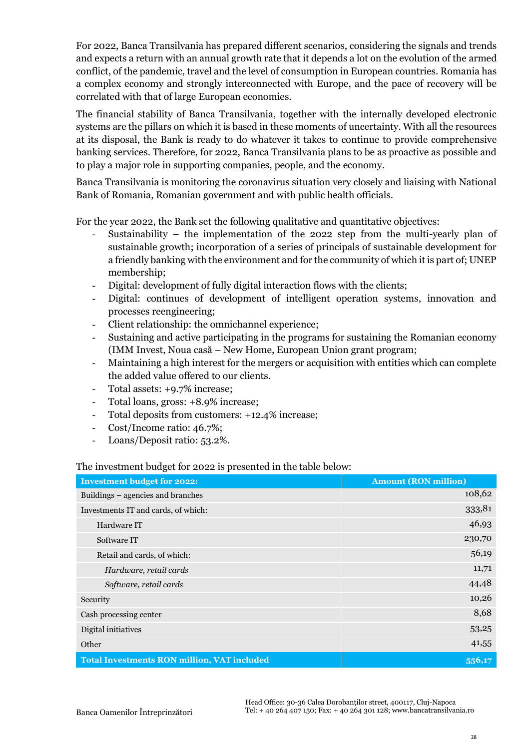For 2022, Banca Transilvania has prepared different scenarios, considering the signals and trends and expects a return with an annual growth rate that it depends a lot on the evolution of the armed conflict, of the pandemic, travel and the level of consumption in European countries. Romania has a complex economy and strongly interconnected with Europe, and the pace of recovery will be correlated with that of large European economies.

The financial stability of Banca Transilvania, together with the internally developed electronic systems are the pillars on which it is based in these moments of uncertainty. With all the resources at its disposal, the Bank is ready to do whatever it takes to continue to provide comprehensive banking services. Therefore, for 2022, Banca Transilvania plans to be as proactive as possible and to play a major role in supporting companies, people, and the economy.

Banca Transilvania is monitoring the coronavirus situation very closely and liaising with National Bank of Romania, Romanian government and with public health officials.

For the year 2022, the Bank set the following qualitative and quantitative objectives:

- Sustainability the implementation of the 2022 step from the multi-yearly plan of sustainable growth; incorporation of a series of principals of sustainable development for a friendly banking with the environment and for the community of which it is part of; UNEP membership;
- Digital: development of fully digital interaction flows with the clients;
- Digital: continues of development of intelligent operation systems, innovation and processes reengineering;
- Client relationship: the omnichannel experience;
- Sustaining and active participating in the programs for sustaining the Romanian economy (IMM Invest, Noua casă – New Home, European Union grant program;
- Maintaining a high interest for the mergers or acquisition with entities which can complete the added value offered to our clients.
- Total assets: +9.7% increase;
- Total loans, gross:  $+8.9\%$  increase;
- Total deposits from customers: +12.4% increase;
- Cost/Income ratio: 46.7%;
- Loans/Deposit ratio: 53.2%.

### The investment budget for 2022 is presented in the table below:

| <b>Investment budget for 2022:</b>                 | <b>Amount (RON million)</b> |
|----------------------------------------------------|-----------------------------|
| Buildings – agencies and branches                  | 108,62                      |
| Investments IT and cards, of which:                | 333,81                      |
| Hardware IT                                        | 46,93                       |
| Software IT                                        | 230,70                      |
| Retail and cards, of which:                        | 56,19                       |
| Hardware, retail cards                             | 11,71                       |
| Software, retail cards                             | 44,48                       |
| Security                                           | 10,26                       |
| Cash processing center                             |                             |
| Digital initiatives                                | 53,25                       |
| Other                                              | 41,55                       |
| <b>Total Investments RON million, VAT included</b> | 556,17                      |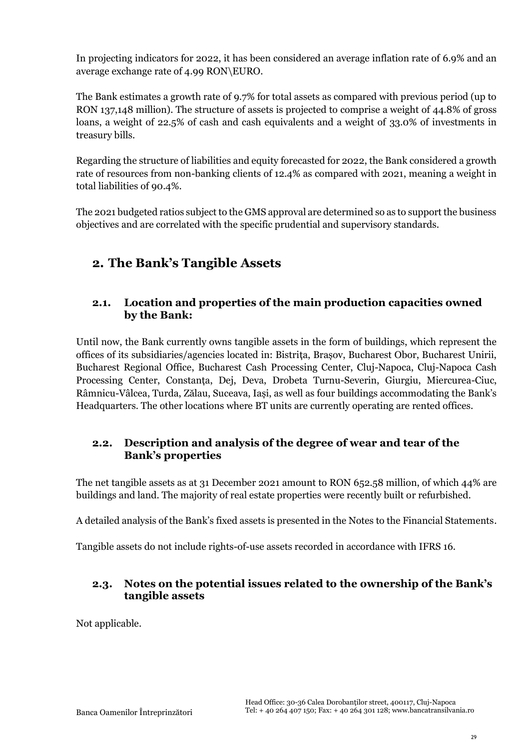In projecting indicators for 2022, it has been considered an average inflation rate of 6.9% and an average exchange rate of 4.99 RON\EURO.

The Bank estimates a growth rate of 9.7% for total assets as compared with previous period (up to RON 137,148 million). The structure of assets is projected to comprise a weight of 44.8% of gross loans, a weight of 22.5% of cash and cash equivalents and a weight of 33.0% of investments in treasury bills.

Regarding the structure of liabilities and equity forecasted for 2022, the Bank considered a growth rate of resources from non-banking clients of 12.4% as compared with 2021, meaning a weight in total liabilities of 90.4%.

The 2021 budgeted ratios subject to the GMS approval are determined so as to support the business objectives and are correlated with the specific prudential and supervisory standards.

# <span id="page-28-0"></span>**2. The Bank's Tangible Assets**

### <span id="page-28-1"></span>**2.1. Location and properties of the main production capacities owned by the Bank:**

Until now, the Bank currently owns tangible assets in the form of buildings, which represent the offices of its subsidiaries/agencies located in: Bistrița, Brașov, Bucharest Obor, Bucharest Unirii, Bucharest Regional Office, Bucharest Cash Processing Center, Cluj-Napoca, Cluj-Napoca Cash Processing Center, Constanța, Dej, Deva, Drobeta Turnu-Severin, Giurgiu, Miercurea-Ciuc, Râmnicu-Vâlcea, Turda, Zălau, Suceava, Iași, as well as four buildings accommodating the Bank's Headquarters. The other locations where BT units are currently operating are rented offices.

### <span id="page-28-2"></span>**2.2. Description and analysis of the degree of wear and tear of the Bank's properties**

The net tangible assets as at 31 December 2021 amount to RON 652.58 million, of which 44% are buildings and land. The majority of real estate properties were recently built or refurbished.

A detailed analysis of the Bank's fixed assets is presented in the Notes to the Financial Statements.

Tangible assets do not include rights-of-use assets recorded in accordance with IFRS 16.

### <span id="page-28-3"></span>**2.3. Notes on the potential issues related to the ownership of the Bank's tangible assets**

Not applicable.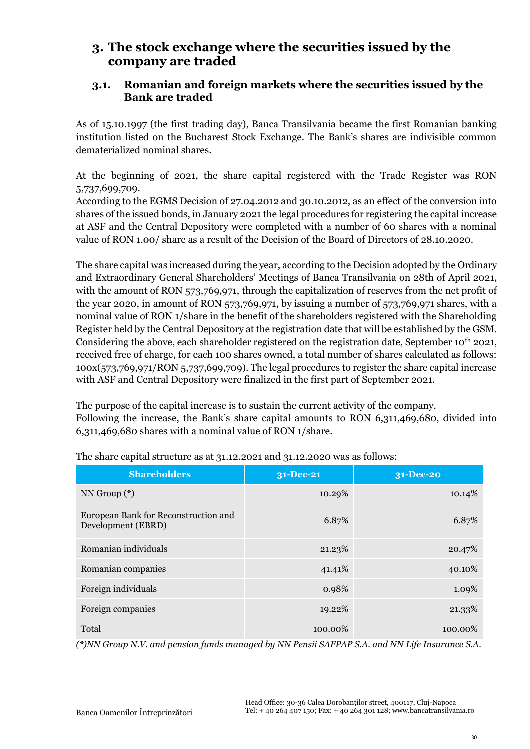## <span id="page-29-0"></span>**3. The stock exchange where the securities issued by the company are traded**

### <span id="page-29-1"></span>**3.1. Romanian and foreign markets where the securities issued by the Bank are traded**

As of 15.10.1997 (the first trading day), Banca Transilvania became the first Romanian banking institution listed on the Bucharest Stock Exchange. The Bank's shares are indivisible common dematerialized nominal shares.

At the beginning of 2021, the share capital registered with the Trade Register was RON 5,737,699,709.

According to the EGMS Decision of 27.04.2012 and 30.10.2012, as an effect of the conversion into shares of the issued bonds, in January 2021 the legal procedures for registering the capital increase at ASF and the Central Depository were completed with a number of 60 shares with a nominal value of RON 1.00/ share as a result of the Decision of the Board of Directors of 28.10.2020.

The share capital was increased during the year, according to the Decision adopted by the Ordinary and Extraordinary General Shareholders' Meetings of Banca Transilvania on 28th of April 2021, with the amount of RON 573,769,971, through the capitalization of reserves from the net profit of the year 2020, in amount of RON 573,769,971, by issuing a number of 573,769,971 shares, with a nominal value of RON 1/share in the benefit of the shareholders registered with the Shareholding Register held by the Central Depository at the registration date that will be established by the GSM. Considering the above, each shareholder registered on the registration date, September 10<sup>th</sup> 2021, received free of charge, for each 100 shares owned, a total number of shares calculated as follows: 100x(573,769,971/RON 5,737,699,709). The legal procedures to register the share capital increase with ASF and Central Depository were finalized in the first part of September 2021.

The purpose of the capital increase is to sustain the current activity of the company. Following the increase, the Bank's share capital amounts to RON 6,311,469,680, divided into 6,311,469,680 shares with a nominal value of RON 1/share.

| <b>Shareholders</b>                                        | 31-Dec-21 | 31-Dec-20 |
|------------------------------------------------------------|-----------|-----------|
| $NN$ Group $(*)$                                           | 10.29%    | 10.14%    |
| European Bank for Reconstruction and<br>Development (EBRD) | 6.87%     | 6.87%     |
| Romanian individuals                                       | 21.23%    | 20.47%    |
| Romanian companies                                         | 41.41%    | 40.10%    |
| Foreign individuals                                        | 0.98%     | 1.09%     |
| Foreign companies                                          | 19.22%    | 21.33%    |
| Total                                                      | 100.00%   | 100.00%   |

The share capital structure as at 31.12.2021 and 31.12.2020 was as follows:

*(\*)NN Group N.V. and pension funds managed by NN Pensii SAFPAP S.A. and NN Life Insurance S.A.*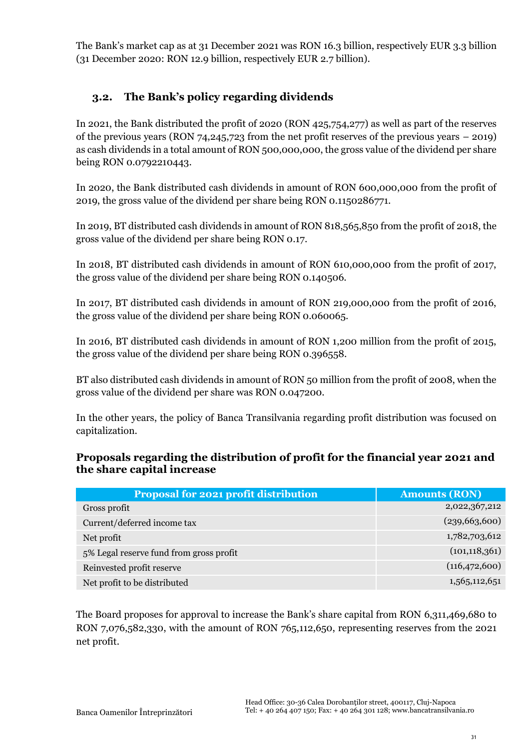The Bank's market cap as at 31 December 2021 was RON 16.3 billion, respectively EUR 3.3 billion (31 December 2020: RON 12.9 billion, respectively EUR 2.7 billion).

### <span id="page-30-0"></span>**3.2. The Bank's policy regarding dividends**

In 2021, the Bank distributed the profit of 2020 (RON 425,754,277) as well as part of the reserves of the previous years (RON 74,245,723 from the net profit reserves of the previous years – 2019) as cash dividends in a total amount of RON 500,000,000, the gross value of the dividend per share being RON 0.0792210443.

In 2020, the Bank distributed cash dividends in amount of RON 600,000,000 from the profit of 2019, the gross value of the dividend per share being RON 0.1150286771.

In 2019, BT distributed cash dividends in amount of RON 818,565,850 from the profit of 2018, the gross value of the dividend per share being RON 0.17.

In 2018, BT distributed cash dividends in amount of RON 610,000,000 from the profit of 2017, the gross value of the dividend per share being RON 0.140506.

In 2017, BT distributed cash dividends in amount of RON 219,000,000 from the profit of 2016, the gross value of the dividend per share being RON 0.060065.

In 2016, BT distributed cash dividends in amount of RON 1,200 million from the profit of 2015, the gross value of the dividend per share being RON 0.396558.

BT also distributed cash dividends in amount of RON 50 million from the profit of 2008, when the gross value of the dividend per share was RON 0.047200.

In the other years, the policy of Banca Transilvania regarding profit distribution was focused on capitalization.

### **Proposals regarding the distribution of profit for the financial year 2021 and the share capital increase**

| <b>Proposal for 2021 profit distribution</b> | <b>Amounts (RON)</b> |
|----------------------------------------------|----------------------|
| Gross profit                                 | 2,022,367,212        |
| Current/deferred income tax                  | (239, 663, 600)      |
| Net profit                                   | 1,782,703,612        |
| 5% Legal reserve fund from gross profit      | (101, 118, 361)      |
| Reinvested profit reserve                    | (116, 472, 600)      |
| Net profit to be distributed                 | 1,565,112,651        |

The Board proposes for approval to increase the Bank's share capital from RON 6,311,469,680 to RON 7,076,582,330, with the amount of RON 765,112,650, representing reserves from the 2021 net profit.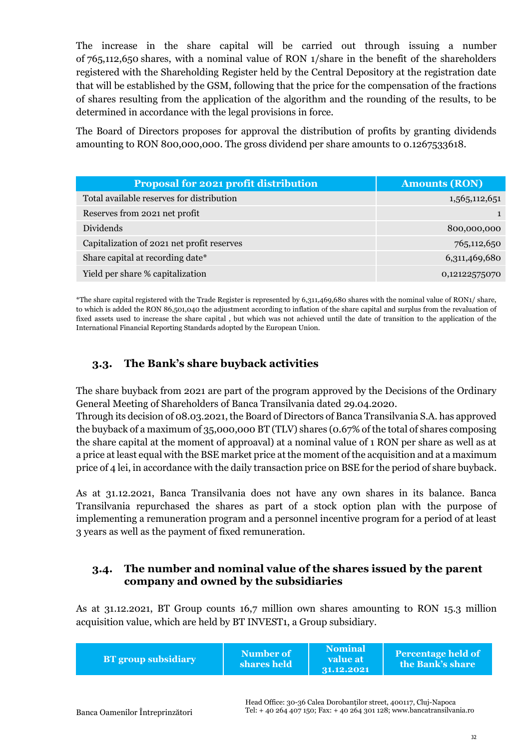The increase in the share capital will be carried out through issuing a number of 765,112,650 shares, with a nominal value of RON 1/share in the benefit of the shareholders registered with the Shareholding Register held by the Central Depository at the registration date that will be established by the GSM, following that the price for the compensation of the fractions of shares resulting from the application of the algorithm and the rounding of the results, to be determined in accordance with the legal provisions in force.

The Board of Directors proposes for approval the distribution of profits by granting dividends amounting to RON 800,000,000. The gross dividend per share amounts to 0.1267533618.

| <b>Proposal for 2021 profit distribution</b> | <b>Amounts (RON)</b> |
|----------------------------------------------|----------------------|
| Total available reserves for distribution    | 1,565,112,651        |
| Reserves from 2021 net profit                |                      |
| Dividends                                    | 800,000,000          |
| Capitalization of 2021 net profit reserves   | 765,112,650          |
| Share capital at recording date*             | 6,311,469,680        |
| Yield per share % capitalization             | 0,12122575070        |

\*The share capital registered with the Trade Register is represented by 6,311,469,680 shares with the nominal value of RON1/ share, to which is added the RON 86,501,040 the adjustment according to inflation of the share capital and surplus from the revaluation of fixed assets used to increase the share capital , but which was not achieved until the date of transition to the application of the International Financial Reporting Standards adopted by the European Union.

### <span id="page-31-0"></span>**3.3. The Bank's share buyback activities**

The share buyback from 2021 are part of the program approved by the Decisions of the Ordinary General Meeting of Shareholders of Banca Transilvania dated 29.04.2020.

Through its decision of 08.03.2021, the Board of Directors of Banca Transilvania S.A. has approved the buyback of a maximum of 35,000,000 BT (TLV) shares (0.67% of the total of shares composing the share capital at the moment of approaval) at a nominal value of 1 RON per share as well as at a price at least equal with the BSE market price at the moment of the acquisition and at a maximum price of 4 lei, in accordance with the daily transaction price on BSE for the period of share buyback.

As at 31.12.2021, Banca Transilvania does not have any own shares in its balance. Banca Transilvania repurchased the shares as part of a stock option plan with the purpose of implementing a remuneration program and a personnel incentive program for a period of at least 3 years as well as the payment of fixed remuneration.

### <span id="page-31-1"></span>**3.4. The number and nominal value of the shares issued by the parent company and owned by the subsidiaries**

As at 31.12.2021, BT Group counts 16,7 million own shares amounting to RON 15.3 million acquisition value, which are held by BT INVEST1, a Group subsidiary.

| <b>BT</b> group subsidiary | Number of<br>shares held | <b>Nominal</b><br>value at<br>31.12.2021 | <b>Percentage held of</b><br>the Bank's share |
|----------------------------|--------------------------|------------------------------------------|-----------------------------------------------|
|----------------------------|--------------------------|------------------------------------------|-----------------------------------------------|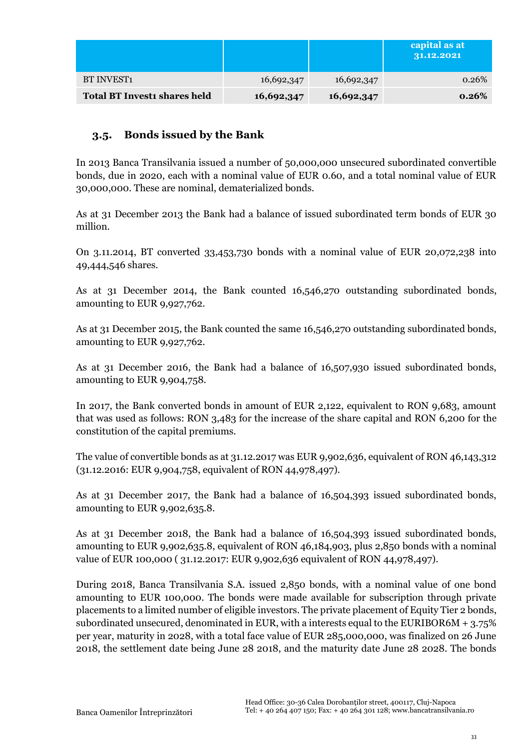|                                     |            |            | capital as at<br>31.12.2021 |
|-------------------------------------|------------|------------|-----------------------------|
| <b>BT INVEST1</b>                   | 16,692,347 | 16,692,347 | 0.26%                       |
| <b>Total BT Investi shares held</b> | 16,692,347 | 16,692,347 | 0.26%                       |

### <span id="page-32-0"></span>**3.5. Bonds issued by the Bank**

In 2013 Banca Transilvania issued a number of 50,000,000 unsecured subordinated convertible bonds, due in 2020, each with a nominal value of EUR 0.60, and a total nominal value of EUR 30,000,000. These are nominal, dematerialized bonds.

As at 31 December 2013 the Bank had a balance of issued subordinated term bonds of EUR 30 million.

On 3.11.2014, BT converted 33,453,730 bonds with a nominal value of EUR 20,072,238 into 49,444,546 shares.

As at 31 December 2014, the Bank counted 16,546,270 outstanding subordinated bonds, amounting to EUR 9,927,762.

As at 31 December 2015, the Bank counted the same 16,546,270 outstanding subordinated bonds, amounting to EUR 9,927,762.

As at 31 December 2016, the Bank had a balance of 16,507,930 issued subordinated bonds, amounting to EUR 9,904,758.

In 2017, the Bank converted bonds in amount of EUR 2,122, equivalent to RON 9,683, amount that was used as follows: RON 3,483 for the increase of the share capital and RON 6,200 for the constitution of the capital premiums.

The value of convertible bonds as at 31.12.2017 was EUR 9,902,636, equivalent of RON 46,143,312 (31.12.2016: EUR 9,904,758, equivalent of RON 44,978,497).

As at 31 December 2017, the Bank had a balance of 16,504,393 issued subordinated bonds, amounting to EUR 9,902,635.8.

As at 31 December 2018, the Bank had a balance of 16,504,393 issued subordinated bonds, amounting to EUR 9,902,635.8, equivalent of RON 46,184,903, plus 2,850 bonds with a nominal value of EUR 100,000 ( 31.12.2017: EUR 9,902,636 equivalent of RON 44,978,497).

During 2018, Banca Transilvania S.A. issued 2,850 bonds, with a nominal value of one bond amounting to EUR 100,000. The bonds were made available for subscription through private placements to a limited number of eligible investors. The private placement of Equity Tier 2 bonds, subordinated unsecured, denominated in EUR, with a interests equal to the EURIBOR6M  $+ 3.75\%$ per year, maturity in 2028, with a total face value of EUR 285,000,000, was finalized on 26 June 2018, the settlement date being June 28 2018, and the maturity date June 28 2028. The bonds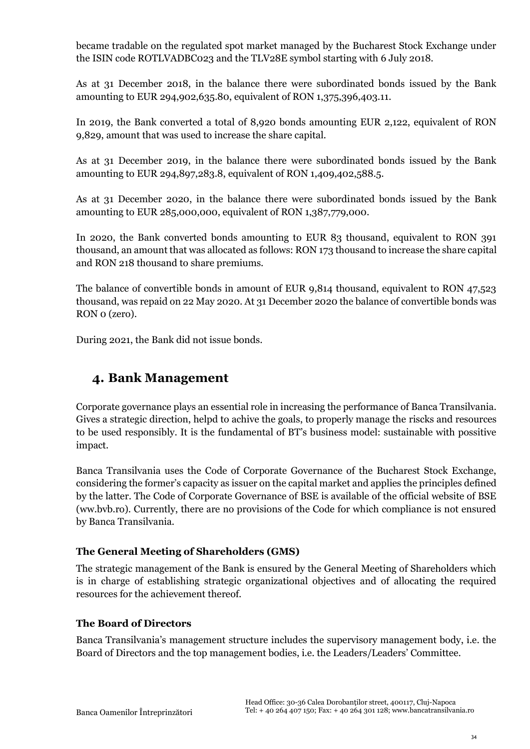became tradable on the regulated spot market managed by the Bucharest Stock Exchange under the ISIN code ROTLVADBC023 and the TLV28E symbol starting with 6 July 2018.

As at 31 December 2018, in the balance there were subordinated bonds issued by the Bank amounting to EUR 294,902,635.80, equivalent of RON 1,375,396,403.11.

In 2019, the Bank converted a total of 8,920 bonds amounting EUR 2,122, equivalent of RON 9,829, amount that was used to increase the share capital.

As at 31 December 2019, in the balance there were subordinated bonds issued by the Bank amounting to EUR 294,897,283.8, equivalent of RON 1,409,402,588.5.

As at 31 December 2020, in the balance there were subordinated bonds issued by the Bank amounting to EUR 285,000,000, equivalent of RON 1,387,779,000.

In 2020, the Bank converted bonds amounting to EUR 83 thousand, equivalent to RON 391 thousand, an amount that was allocated as follows: RON 173 thousand to increase the share capital and RON 218 thousand to share premiums.

The balance of convertible bonds in amount of EUR 9,814 thousand, equivalent to RON 47,523 thousand, was repaid on 22 May 2020. At 31 December 2020 the balance of convertible bonds was RON 0 (zero).

During 2021, the Bank did not issue bonds.

## <span id="page-33-0"></span>**4. Bank Management**

Corporate governance plays an essential role in increasing the performance of Banca Transilvania. Gives a strategic direction, helpd to achive the goals, to properly manage the riscks and resources to be used responsibly. It is the fundamental of BT's business model: sustainable with possitive impact.

Banca Transilvania uses the Code of Corporate Governance of the Bucharest Stock Exchange, considering the former's capacity as issuer on the capital market and applies the principles defined by the latter. The Code of Corporate Governance of BSE is available of the official website of BSE (ww.bvb.ro). Currently, there are no provisions of the Code for which compliance is not ensured by Banca Transilvania.

### **The General Meeting of Shareholders (GMS)**

The strategic management of the Bank is ensured by the General Meeting of Shareholders which is in charge of establishing strategic organizational objectives and of allocating the required resources for the achievement thereof.

### **The Board of Directors**

Banca Transilvania's management structure includes the supervisory management body, i.e. the Board of Directors and the top management bodies, i.e. the Leaders/Leaders' Committee.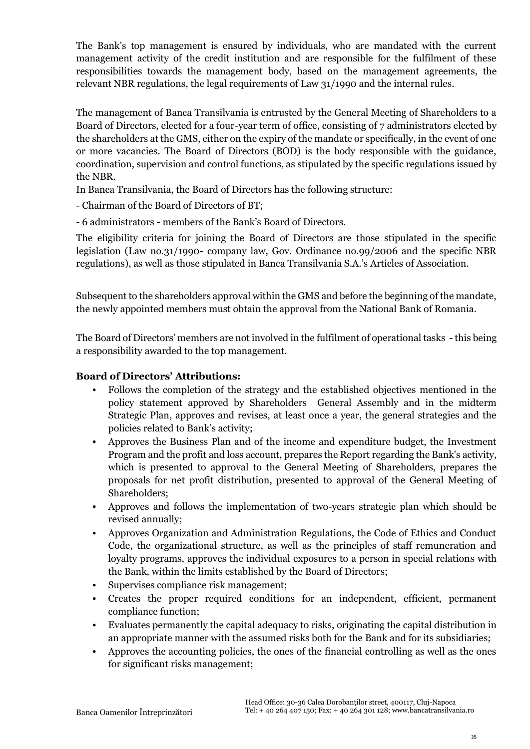The Bank's top management is ensured by individuals, who are mandated with the current management activity of the credit institution and are responsible for the fulfilment of these responsibilities towards the management body, based on the management agreements, the relevant NBR regulations, the legal requirements of Law 31/1990 and the internal rules.

The management of Banca Transilvania is entrusted by the General Meeting of Shareholders to a Board of Directors, elected for a four-year term of office, consisting of 7 administrators elected by the shareholders at the GMS, either on the expiry of the mandate or specifically, in the event of one or more vacancies. The Board of Directors (BOD) is the body responsible with the guidance, coordination, supervision and control functions, as stipulated by the specific regulations issued by the NBR.

In Banca Transilvania, the Board of Directors has the following structure:

- Chairman of the Board of Directors of BT;

- 6 administrators - members of the Bank's Board of Directors.

The eligibility criteria for joining the Board of Directors are those stipulated in the specific legislation (Law no.31/1990- company law, Gov. Ordinance no.99/2006 and the specific NBR regulations), as well as those stipulated in Banca Transilvania S.A.'s Articles of Association.

Subsequent to the shareholders approval within the GMS and before the beginning of the mandate, the newly appointed members must obtain the approval from the National Bank of Romania.

The Board of Directors' members are not involved in the fulfilment of operational tasks - this being a responsibility awarded to the top management.

### **Board of Directors' Attributions:**

- Follows the completion of the strategy and the established objectives mentioned in the policy statement approved by Shareholders General Assembly and in the midterm Strategic Plan, approves and revises, at least once a year, the general strategies and the policies related to Bank's activity;
- Approves the Business Plan and of the income and expenditure budget, the Investment Program and the profit and loss account, prepares the Report regarding the Bank's activity, which is presented to approval to the General Meeting of Shareholders, prepares the proposals for net profit distribution, presented to approval of the General Meeting of Shareholders;
- Approves and follows the implementation of two-years strategic plan which should be revised annually;
- Approves Organization and Administration Regulations, the Code of Ethics and Conduct Code, the organizational structure, as well as the principles of staff remuneration and loyalty programs, approves the individual exposures to a person in special relations with the Bank, within the limits established by the Board of Directors;
- Supervises compliance risk management;
- Creates the proper required conditions for an independent, efficient, permanent compliance function;
- Evaluates permanently the capital adequacy to risks, originating the capital distribution in an appropriate manner with the assumed risks both for the Bank and for its subsidiaries;
- Approves the accounting policies, the ones of the financial controlling as well as the ones for significant risks management;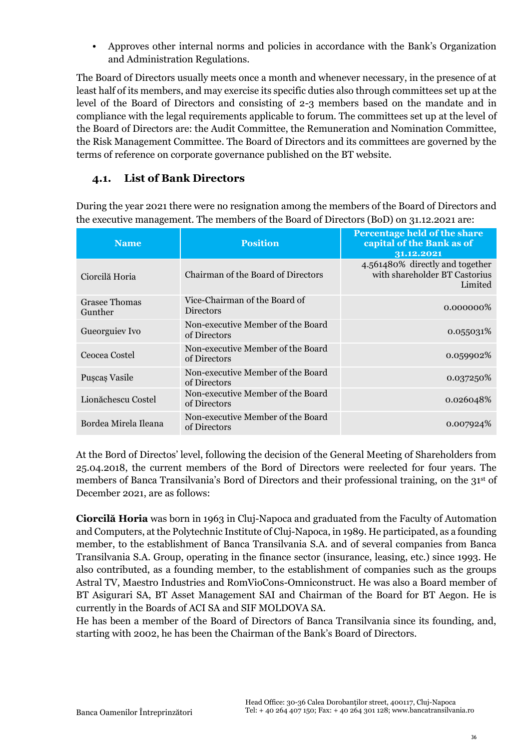• Approves other internal norms and policies in accordance with the Bank's Organization and Administration Regulations.

The Board of Directors usually meets once a month and whenever necessary, in the presence of at least half of its members, and may exercise its specific duties also through committees set up at the level of the Board of Directors and consisting of 2-3 members based on the mandate and in compliance with the legal requirements applicable to forum. The committees set up at the level of the Board of Directors are: the Audit Committee, the Remuneration and Nomination Committee, the Risk Management Committee. The Board of Directors and its committees are governed by the terms of reference on corporate governance published on the BT website.

### <span id="page-35-0"></span>**4.1. List of Bank Directors**

During the year 2021 there were no resignation among the members of the Board of Directors and the executive management. The members of the Board of Directors (BoD) on 31.12.2021 are:

| <b>Name</b>              | <b>Position</b>                                   | Percentage held of the share<br>capital of the Bank as of<br>31.12.2021     |
|--------------------------|---------------------------------------------------|-----------------------------------------------------------------------------|
| Ciorcilă Horia           | Chairman of the Board of Directors                | 4.561480% directly and together<br>with shareholder BT Castorius<br>Limited |
| Grasee Thomas<br>Gunther | Vice-Chairman of the Board of<br><b>Directors</b> | $0.000000\%$                                                                |
| Gueorguiev Ivo           | Non-executive Member of the Board<br>of Directors | 0.055031\%                                                                  |
| Ceocea Costel            | Non-executive Member of the Board<br>of Directors | 0.059902%                                                                   |
| Puscas Vasile            | Non-executive Member of the Board<br>of Directors | 0.037250\%                                                                  |
| Lionăchescu Costel       | Non-executive Member of the Board<br>of Directors | 0.026048%                                                                   |
| Bordea Mirela Ileana     | Non-executive Member of the Board<br>of Directors | 0.007924\%                                                                  |

At the Bord of Directos' level, following the decision of the General Meeting of Shareholders from 25.04.2018, the current members of the Bord of Directors were reelected for four years. The members of Banca Transilvania's Bord of Directors and their professional training, on the 31st of December 2021, are as follows:

**Ciorcilă Horia** was born in 1963 in Cluj-Napoca and graduated from the Faculty of Automation and Computers, at the Polytechnic Institute of Cluj-Napoca, in 1989. He participated, as a founding member, to the establishment of Banca Transilvania S.A. and of several companies from Banca Transilvania S.A. Group, operating in the finance sector (insurance, leasing, etc.) since 1993. He also contributed, as a founding member, to the establishment of companies such as the groups Astral TV, Maestro Industries and RomVioCons-Omniconstruct. He was also a Board member of BT Asigurari SA, BT Asset Management SAI and Chairman of the Board for BT Aegon. He is currently in the Boards of ACI SA and SIF MOLDOVA SA.

He has been a member of the Board of Directors of Banca Transilvania since its founding, and, starting with 2002, he has been the Chairman of the Bank's Board of Directors.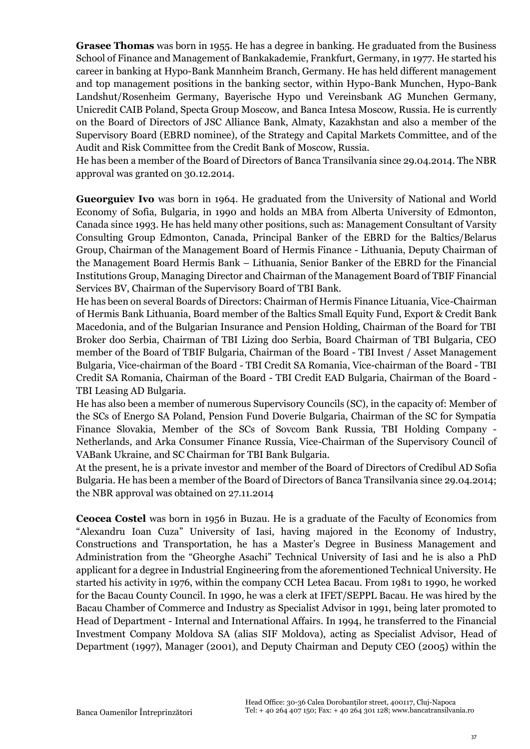**Grasee Thomas** was born in 1955. He has a degree in banking. He graduated from the Business School of Finance and Management of Bankakademie, Frankfurt, Germany, in 1977. He started his career in banking at Hypo-Bank Mannheim Branch, Germany. He has held different management and top management positions in the banking sector, within Hypo-Bank Munchen, Hypo-Bank Landshut/Rosenheim Germany, Bayerische Hypo und Vereinsbank AG Munchen Germany, Unicredit CAIB Poland, Specta Group Moscow, and Banca Intesa Moscow, Russia. He is currently on the Board of Directors of JSC Alliance Bank, Almaty, Kazakhstan and also a member of the Supervisory Board (EBRD nominee), of the Strategy and Capital Markets Committee, and of the Audit and Risk Committee from the Credit Bank of Moscow, Russia.

He has been a member of the Board of Directors of Banca Transilvania since 29.04.2014. The NBR approval was granted on 30.12.2014.

**Gueorguiev Ivo** was born in 1964. He graduated from the University of National and World Economy of Sofia, Bulgaria, in 1990 and holds an MBA from Alberta University of Edmonton, Canada since 1993. He has held many other positions, such as: Management Consultant of Varsity Consulting Group Edmonton, Canada, Principal Banker of the EBRD for the Baltics/Belarus Group, Chairman of the Management Board of Hermis Finance - Lithuania, Deputy Chairman of the Management Board Hermis Bank – Lithuania, Senior Banker of the EBRD for the Financial Institutions Group, Managing Director and Chairman of the Management Board of TBIF Financial Services BV, Chairman of the Supervisory Board of TBI Bank.

He has been on several Boards of Directors: Chairman of Hermis Finance Lituania, Vice-Chairman of Hermis Bank Lithuania, Board member of the Baltics Small Equity Fund, Export & Credit Bank Macedonia, and of the Bulgarian Insurance and Pension Holding, Chairman of the Board for TBI Broker doo Serbia, Chairman of TBI Lizing doo Serbia, Board Chairman of TBI Bulgaria, CEO member of the Board of TBIF Bulgaria, Chairman of the Board - TBI Invest / Asset Management Bulgaria, Vice-chairman of the Board - TBI Credit SA Romania, Vice-chairman of the Board - TBI Credit SA Romania, Chairman of the Board - TBI Credit EAD Bulgaria, Chairman of the Board - TBI Leasing AD Bulgaria.

He has also been a member of numerous Supervisory Councils (SC), in the capacity of: Member of the SCs of Energo SA Poland, Pension Fund Doverie Bulgaria, Chairman of the SC for Sympatia Finance Slovakia, Member of the SCs of Sovcom Bank Russia, TBI Holding Company - Netherlands, and Arka Consumer Finance Russia, Vice-Chairman of the Supervisory Council of VABank Ukraine, and SC Chairman for TBI Bank Bulgaria.

At the present, he is a private investor and member of the Board of Directors of Credibul AD Sofia Bulgaria. He has been a member of the Board of Directors of Banca Transilvania since 29.04.2014; the NBR approval was obtained on 27.11.2014

**Ceocea Costel** was born in 1956 in Buzau. He is a graduate of the Faculty of Economics from "Alexandru Ioan Cuza" University of Iasi, having majored in the Economy of Industry, Constructions and Transportation, he has a Master's Degree in Business Management and Administration from the "Gheorghe Asachi" Technical University of Iasi and he is also a PhD applicant for a degree in Industrial Engineering from the aforementioned Technical University. He started his activity in 1976, within the company CCH Letea Bacau. From 1981 to 1990, he worked for the Bacau County Council. In 1990, he was a clerk at IFET/SEPPL Bacau. He was hired by the Bacau Chamber of Commerce and Industry as Specialist Advisor in 1991, being later promoted to Head of Department - Internal and International Affairs. In 1994, he transferred to the Financial Investment Company Moldova SA (alias SIF Moldova), acting as Specialist Advisor, Head of Department (1997), Manager (2001), and Deputy Chairman and Deputy CEO (2005) within the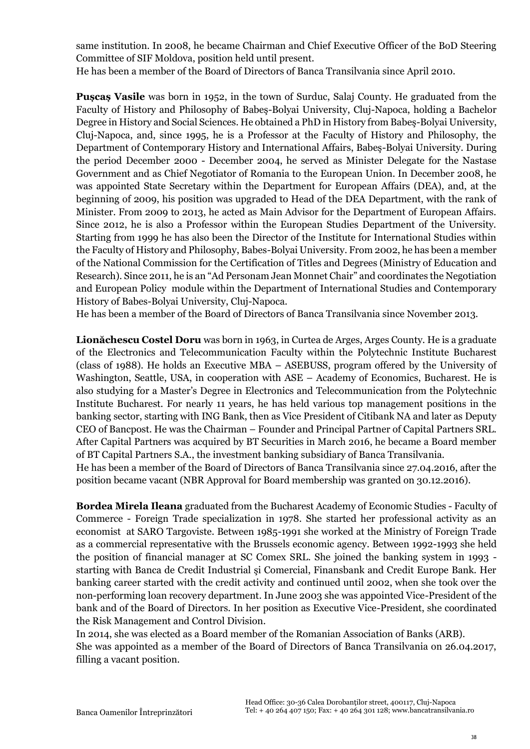same institution. In 2008, he became Chairman and Chief Executive Officer of the BoD Steering Committee of SIF Moldova, position held until present.

He has been a member of the Board of Directors of Banca Transilvania since April 2010.

**Pușcaș Vasile** was born in 1952, in the town of Surduc, Salaj County. He graduated from the Faculty of History and Philosophy of Babeş-Bolyai University, Cluj-Napoca, holding a Bachelor Degree in History and Social Sciences. He obtained a PhD in History from Babeş-Bolyai University, Cluj-Napoca, and, since 1995, he is a Professor at the Faculty of History and Philosophy, the Department of Contemporary History and International Affairs, Babeş-Bolyai University. During the period December 2000 - December 2004, he served as Minister Delegate for the Nastase Government and as Chief Negotiator of Romania to the European Union. In December 2008, he was appointed State Secretary within the Department for European Affairs (DEA), and, at the beginning of 2009, his position was upgraded to Head of the DEA Department, with the rank of Minister. From 2009 to 2013, he acted as Main Advisor for the Department of European Affairs. Since 2012, he is also a Professor within the European Studies Department of the University. Starting from 1999 he has also been the Director of the Institute for International Studies within the Faculty of History and Philosophy, Babes-Bolyai University. From 2002, he has been a member of the National Commission for the Certification of Titles and Degrees (Ministry of Education and Research). Since 2011, he is an "Ad Personam Jean Monnet Chair" and coordinates the Negotiation and European Policy module within the Department of International Studies and Contemporary History of Babes-Bolyai University, Cluj-Napoca.

He has been a member of the Board of Directors of Banca Transilvania since November 2013.

**Lionăchescu Costel Doru** was born in 1963, in Curtea de Arges, Arges County. He is a graduate of the Electronics and Telecommunication Faculty within the Polytechnic Institute Bucharest (class of 1988). He holds an Executive MBA – ASEBUSS, program offered by the University of Washington, Seattle, USA, in cooperation with ASE – Academy of Economics, Bucharest. He is also studying for a Master's Degree in Electronics and Telecommunication from the Polytechnic Institute Bucharest. For nearly 11 years, he has held various top management positions in the banking sector, starting with ING Bank, then as Vice President of Citibank NA and later as Deputy CEO of Bancpost. He was the Chairman – Founder and Principal Partner of Capital Partners SRL. After Capital Partners was acquired by BT Securities in March 2016, he became a Board member of BT Capital Partners S.A., the investment banking subsidiary of Banca Transilvania. He has been a member of the Board of Directors of Banca Transilvania since 27.04.2016, after the position became vacant (NBR Approval for Board membership was granted on 30.12.2016).

**Bordea Mirela Ileana** graduated from the Bucharest Academy of Economic Studies - Faculty of Commerce - Foreign Trade specialization in 1978. She started her professional activity as an economist at SARO Targoviste. Between 1985-1991 she worked at the Ministry of Foreign Trade as a commercial representative with the Brussels economic agency. Between 1992-1993 she held the position of financial manager at SC Comex SRL. She joined the banking system in 1993 starting with Banca de Credit Industrial şi Comercial, Finansbank and Credit Europe Bank. Her banking career started with the credit activity and continued until 2002, when she took over the non-performing loan recovery department. In June 2003 she was appointed Vice-President of the bank and of the Board of Directors. In her position as Executive Vice-President, she coordinated the Risk Management and Control Division.

In 2014, she was elected as a Board member of the Romanian Association of Banks (ARB). She was appointed as a member of the Board of Directors of Banca Transilvania on 26.04.2017, filling a vacant position.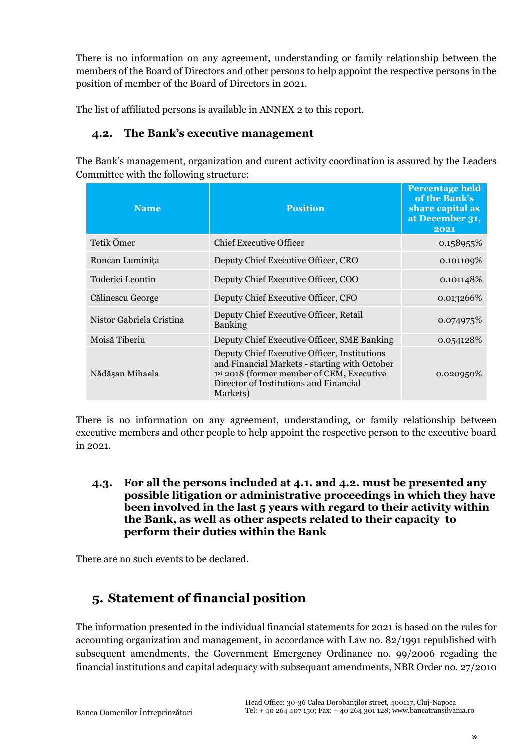There is no information on any agreement, understanding or family relationship between the members of the Board of Directors and other persons to help appoint the respective persons in the position of member of the Board of Directors in 2021.

<span id="page-38-0"></span>The list of affiliated persons is available in ANNEX 2 to this report.

### **4.2. The Bank's executive management**

The Bank's management, organization and curent activity coordination is assured by the Leaders Committee with the following structure:

| <b>Name</b>              | <b>Position</b>                                                                                                                                                                                  | <b>Percentage held</b><br>of the Bank's<br>share capital as<br>at December 31,<br>2021 |  |  |
|--------------------------|--------------------------------------------------------------------------------------------------------------------------------------------------------------------------------------------------|----------------------------------------------------------------------------------------|--|--|
| Tetik Ömer               | Chief Executive Officer                                                                                                                                                                          | 0.158955%                                                                              |  |  |
| Runcan Luminița          | Deputy Chief Executive Officer, CRO                                                                                                                                                              | 0.101109%                                                                              |  |  |
| Toderici Leontin         | Deputy Chief Executive Officer, COO                                                                                                                                                              | 0.101148%                                                                              |  |  |
| Călinescu George         | Deputy Chief Executive Officer, CFO                                                                                                                                                              | 0.013266%                                                                              |  |  |
| Nistor Gabriela Cristina | Deputy Chief Executive Officer, Retail<br><b>Banking</b>                                                                                                                                         | 0.074975%                                                                              |  |  |
| Moisă Tiberiu            | Deputy Chief Executive Officer, SME Banking                                                                                                                                                      | 0.054128%                                                                              |  |  |
| Nădășan Mihaela          | Deputy Chief Executive Officer, Institutions<br>and Financial Markets - starting with October<br>1st 2018 (former member of CEM, Executive<br>Director of Institutions and Financial<br>Markets) | $0.020950\%$                                                                           |  |  |

There is no information on any agreement, understanding, or family relationship between executive members and other people to help appoint the respective person to the executive board in 2021.

<span id="page-38-1"></span>**4.3. For all the persons included at 4.1. and 4.2. must be presented any possible litigation or administrative proceedings in which they have been involved in the last 5 years with regard to their activity within the Bank, as well as other aspects related to their capacity to perform their duties within the Bank**

There are no such events to be declared.

# <span id="page-38-2"></span>**5. Statement of financial position**

The information presented in the individual financial statements for 2021 is based on the rules for accounting organization and management, in accordance with Law no. 82/1991 republished with subsequent amendments, the Government Emergency Ordinance no. 99/2006 regading the financial institutions and capital adequacy with subsequant amendments, NBR Order no. 27/2010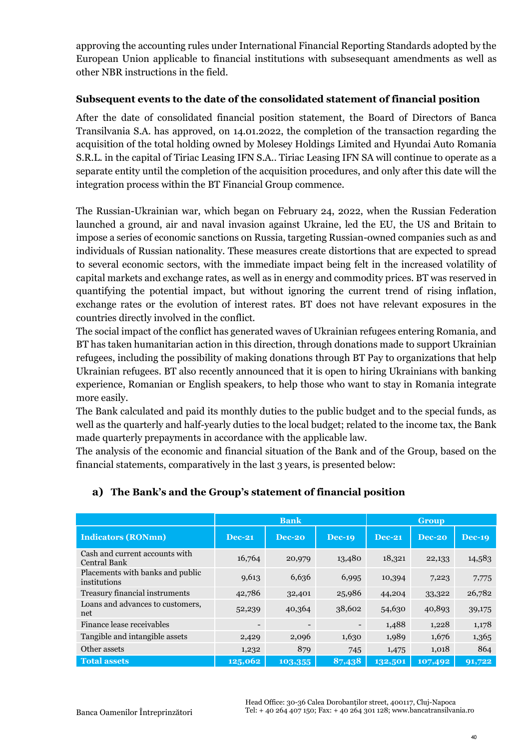approving the accounting rules under International Financial Reporting Standards adopted by the European Union applicable to financial institutions with subsesequant amendments as well as other NBR instructions in the field.

### **Subsequent events to the date of the consolidated statement of financial position**

After the date of consolidated financial position statement, the Board of Directors of Banca Transilvania S.A. has approved, on 14.01.2022, the completion of the transaction regarding the acquisition of the total holding owned by Molesey Holdings Limited and Hyundai Auto Romania S.R.L. in the capital of Tiriac Leasing IFN S.A.. Tiriac Leasing IFN SA will continue to operate as a separate entity until the completion of the acquisition procedures, and only after this date will the integration process within the BT Financial Group commence.

The Russian-Ukrainian war, which began on February 24, 2022, when the Russian Federation launched a ground, air and naval invasion against Ukraine, led the EU, the US and Britain to impose a series of economic sanctions on Russia, targeting Russian-owned companies such as and individuals of Russian nationality. These measures create distortions that are expected to spread to several economic sectors, with the immediate impact being felt in the increased volatility of capital markets and exchange rates, as well as in energy and commodity prices. BT was reserved in quantifying the potential impact, but without ignoring the current trend of rising inflation, exchange rates or the evolution of interest rates. BT does not have relevant exposures in the countries directly involved in the conflict.

The social impact of the conflict has generated waves of Ukrainian refugees entering Romania, and BT has taken humanitarian action in this direction, through donations made to support Ukrainian refugees, including the possibility of making donations through BT Pay to organizations that help Ukrainian refugees. BT also recently announced that it is open to hiring Ukrainians with banking experience, Romanian or English speakers, to help those who want to stay in Romania integrate more easily.

The Bank calculated and paid its monthly duties to the public budget and to the special funds, as well as the quarterly and half-yearly duties to the local budget; related to the income tax, the Bank made quarterly prepayments in accordance with the applicable law.

The analysis of the economic and financial situation of the Bank and of the Group, based on the financial statements, comparatively in the last 3 years, is presented below:

|                                                  | <b>Bank</b>              |         | <b>Group</b>             |               |          |               |
|--------------------------------------------------|--------------------------|---------|--------------------------|---------------|----------|---------------|
| <b>Indicators (RONmn)</b>                        | $Dec-21$                 | Dec-20  | <b>Dec-19</b>            | <b>Dec-21</b> | $Dec-20$ | <b>Dec-19</b> |
| Cash and current accounts with<br>Central Bank   | 16,764                   | 20,979  | 13,480                   | 18,321        | 22,133   | 14,583        |
| Placements with banks and public<br>institutions | 9,613                    | 6,636   | 6,995                    | 10,394        | 7,223    | 7,775         |
| Treasury financial instruments                   | 42,786                   | 32,401  | 25,986                   | 44,204        | 33,322   | 26,782        |
| Loans and advances to customers,<br>net          | 52,239                   | 40,364  | 38,602                   | 54,630        | 40,893   | 39,175        |
| Finance lease receivables                        | $\overline{\phantom{a}}$ |         | $\overline{\phantom{a}}$ | 1,488         | 1,228    | 1,178         |
| Tangible and intangible assets                   | 2,429                    | 2,096   | 1,630                    | 1,989         | 1,676    | 1,365         |
| Other assets                                     | 1,232                    | 879     | 745                      | 1,475         | 1,018    | 864           |
| <b>Total assets</b>                              | $\overline{125,}062$     | 103,355 | 87,438                   | 132,501       | 107,492  | 91,722        |

### **a) The Bank's and the Group's statement of financial position**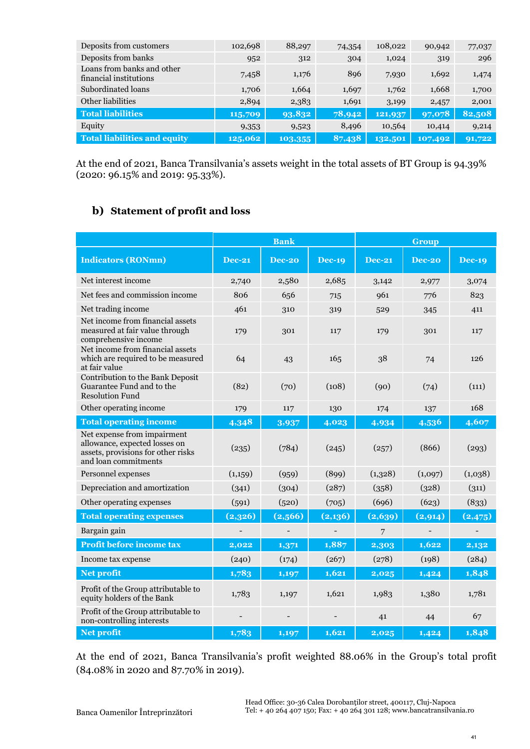| Deposits from customers                              | 102,698 | 88,297  | 74,354 | 108,022 | 90,942  | 77,037 |
|------------------------------------------------------|---------|---------|--------|---------|---------|--------|
| Deposits from banks                                  | 952     | 312     | 304    | 1,024   | 319     | 296    |
| Loans from banks and other<br>financial institutions | 7,458   | 1,176   | 896    | 7,930   | 1,692   | 1,474  |
| Subordinated loans                                   | 1,706   | 1,664   | 1,697  | 1,762   | 1,668   | 1,700  |
| Other liabilities                                    | 2,894   | 2,383   | 1,691  | 3,199   | 2,457   | 2,001  |
| <b>Total liabilities</b>                             | 115,709 | 93,832  | 78,942 | 121,937 | 97,078  | 82,508 |
| Equity                                               | 9,353   | 9,523   | 8,496  | 10,564  | 10,414  | 9,214  |
| <b>Total liabilities and equity</b>                  | 125,062 | 103,355 | 87,438 | 132,501 | 107,492 | 91,722 |

At the end of 2021, Banca Transilvania's assets weight in the total assets of BT Group is 94.39% (2020: 96.15% and 2019: 95.33%).

### **b) Statement of profit and loss**

|                                                                                                                            | <b>Bank</b>   |               |               | <b>Group</b>  |               |               |
|----------------------------------------------------------------------------------------------------------------------------|---------------|---------------|---------------|---------------|---------------|---------------|
| <b>Indicators (RONmn)</b>                                                                                                  | <b>Dec-21</b> | <b>Dec-20</b> | <b>Dec-19</b> | <b>Dec-21</b> | <b>Dec-20</b> | <b>Dec-19</b> |
| Net interest income                                                                                                        | 2,740         | 2,580         | 2,685         | 3,142         | 2,977         | 3,074         |
| Net fees and commission income                                                                                             | 806           | 656           | 715           | 961           | 776           | 823           |
| Net trading income                                                                                                         | 461           | 310           | 319           | 529           | 345           | 411           |
| Net income from financial assets<br>measured at fair value through<br>comprehensive income                                 | 179           | 301           | 117           | 179           | 301           | 117           |
| Net income from financial assets<br>which are required to be measured<br>at fair value                                     | 64            | 43            | 165           | 38            | 74            | 126           |
| Contribution to the Bank Deposit<br>Guarantee Fund and to the<br><b>Resolution Fund</b>                                    | (82)          | (70)          | (108)         | (90)          | (74)          | (111)         |
| Other operating income                                                                                                     | 179           | 117           | 130           | 174           | 137           | 168           |
| <b>Total operating income</b>                                                                                              | 4,348         | 3,937         | 4,023         | 4,934         | 4,536         | 4,607         |
| Net expense from impairment<br>allowance, expected losses on<br>assets, provisions for other risks<br>and loan commitments | (235)         | (784)         | (245)         | (257)         | (866)         | (293)         |
| Personnel expenses                                                                                                         | (1,159)       | (959)         | (899)         | (1,328)       | (1,097)       | (1,038)       |
| Depreciation and amortization                                                                                              | (341)         | (304)         | (287)         | (358)         | (328)         | (311)         |
| Other operating expenses                                                                                                   | (591)         | (520)         | (705)         | (696)         | (623)         | (833)         |
| <b>Total operating expenses</b>                                                                                            | (2,326)       | (2,566)       | (2,136)       | (2,639)       | (2, 914)      | (2, 475)      |
| Bargain gain                                                                                                               |               |               |               | 7             |               |               |
| Profit before income tax                                                                                                   | 2,022         | 1,371         | 1,887         | 2,303         | 1,622         | 2,132         |
| Income tax expense                                                                                                         | (240)         | (174)         | (267)         | (278)         | (198)         | (284)         |
| <b>Net profit</b>                                                                                                          | 1,783         | 1,197         | 1,621         | 2,025         | 1,424         | 1,848         |
| Profit of the Group attributable to<br>equity holders of the Bank                                                          | 1,783         | 1,197         | 1,621         | 1,983         | 1,380         | 1,781         |
| Profit of the Group attributable to<br>non-controlling interests                                                           |               |               |               | 41            | 44            | 67            |
| Net profit                                                                                                                 | 1,783         | 1,197         | 1.621         | 2,025         | 1,424         | 1,848         |

At the end of 2021, Banca Transilvania's profit weighted 88.06% in the Group's total profit (84.08% in 2020 and 87.70% in 2019).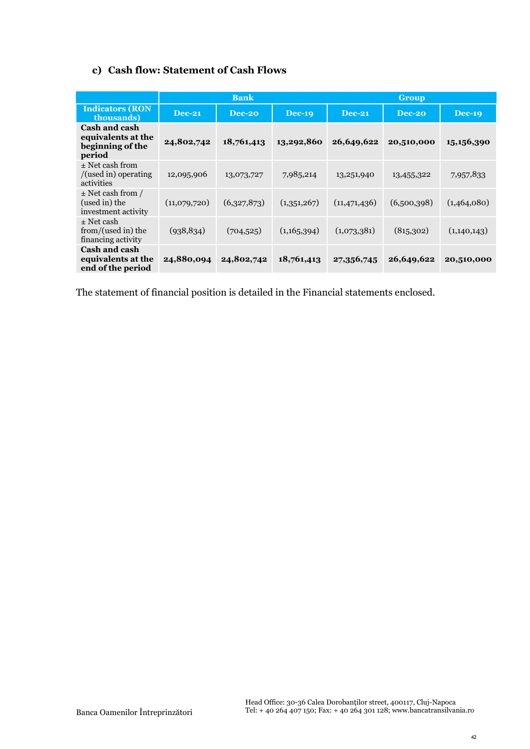### **c) Cash flow: Statement of Cash Flows**

|                                                                   | <b>Bank</b>   |             |               | <b>Group</b>   |             |               |  |
|-------------------------------------------------------------------|---------------|-------------|---------------|----------------|-------------|---------------|--|
| <b>Indicators (RON</b><br>thousands)                              | <b>Dec-21</b> | Dec-20      | <b>Dec-19</b> | <b>Dec-21</b>  | Dec-20      | <b>Dec-19</b> |  |
| Cash and cash<br>equivalents at the<br>beginning of the<br>period | 24,802,742    | 18,761,413  | 13,292,860    | 26,649,622     | 20,510,000  | 15,156,390    |  |
| $\pm$ Net cash from<br>$/$ (used in) operating<br>activities      | 12,095,906    | 13,073,727  | 7,985,214     | 13,251,940     | 13,455,322  | 7,957,833     |  |
| $\pm$ Net cash from /<br>(used in) the<br>investment activity     | (11,079,720)  | (6,327,873) | (1,351,267)   | (11, 471, 436) | (6,500,398) | (1,464,080)   |  |
| $\pm$ Net cash<br>from/(used in) the<br>financing activity        | (938, 834)    | (704, 525)  | (1,165,394)   | (1,073,381)    | (815,302)   | (1,140,143)   |  |
| <b>Cash and cash</b><br>equivalents at the<br>end of the period   | 24,880,094    | 24,802,742  | 18,761,413    | 27,356,745     | 26,649,622  | 20,510,000    |  |

The statement of financial position is detailed in the Financial statements enclosed.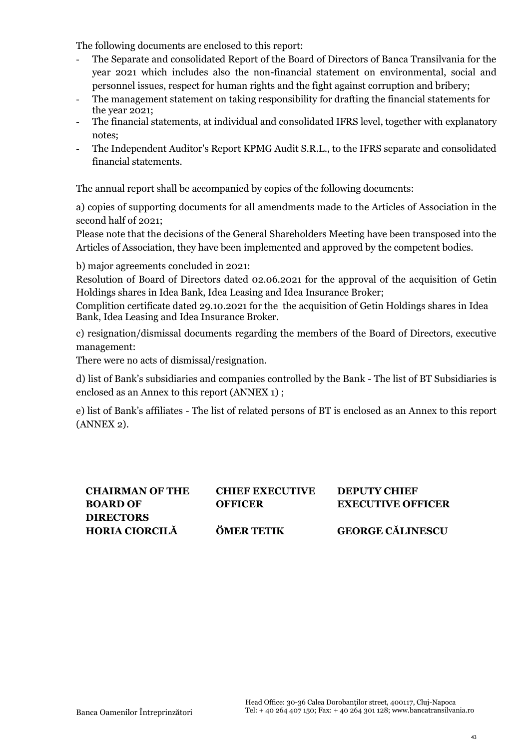The following documents are enclosed to this report:

- The Separate and consolidated Report of the Board of Directors of Banca Transilvania for the year 2021 which includes also the non-financial statement on environmental, social and personnel issues, respect for human rights and the fight against corruption and bribery;
- The management statement on taking responsibility for drafting the financial statements for the year 2021;
- The financial statements, at individual and consolidated IFRS level, together with explanatory notes;
- The Independent Auditor's Report KPMG Audit S.R.L., to the IFRS separate and consolidated financial statements.

The annual report shall be accompanied by copies of the following documents:

a) copies of supporting documents for all amendments made to the Articles of Association in the second half of 2021;

Please note that the decisions of the General Shareholders Meeting have been transposed into the Articles of Association, they have been implemented and approved by the competent bodies.

b) major agreements concluded in 2021:

Resolution of Board of Directors dated 02.06.2021 for the approval of the acquisition of Getin Holdings shares in Idea Bank, Idea Leasing and Idea Insurance Broker;

Complition certificate dated 29.10.2021 for the the acquisition of Getin Holdings shares in Idea Bank, Idea Leasing and Idea Insurance Broker.

c) resignation/dismissal documents regarding the members of the Board of Directors, executive management:

There were no acts of dismissal/resignation.

d) list of Bank's subsidiaries and companies controlled by the Bank - The list of BT Subsidiaries is enclosed as an Annex to this report (ANNEX 1) ;

e) list of Bank's affiliates - The list of related persons of BT is enclosed as an Annex to this report (ANNEX 2).

| <b>CHAIRMAN OF THE</b> | <b>CHIEF EXECUTIVE</b> | <b>DEPUTY CHIEF</b>      |
|------------------------|------------------------|--------------------------|
| <b>BOARD OF</b>        | <b>OFFICER</b>         | <b>EXECUTIVE OFFICER</b> |
| <b>DIRECTORS</b>       |                        |                          |
| <b>HORIA CIORCILĂ</b>  | <b>ÖMER TETIK</b>      | <b>GEORGE CĂLINESCU</b>  |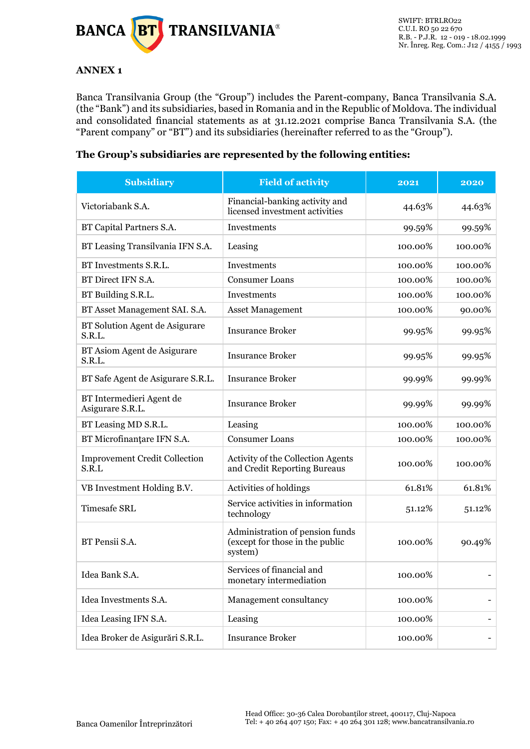

### <span id="page-43-0"></span>**ANNEX 1**

Banca Transilvania Group (the "Group") includes the Parent-company, Banca Transilvania S.A. (the "Bank") and its subsidiaries, based in Romania and in the Republic of Moldova. The individual and consolidated financial statements as at 31.12.2021 comprise Banca Transilvania S.A. (the "Parent company" or "BT") and its subsidiaries (hereinafter referred to as the "Group").

### **The Group's subsidiaries are represented by the following entities:**

| <b>Subsidiary</b>                             | <b>Field of activity</b>                                                      | 2021    | 2020    |
|-----------------------------------------------|-------------------------------------------------------------------------------|---------|---------|
| Victoriabank S.A.                             | Financial-banking activity and<br>licensed investment activities              | 44.63%  | 44.63%  |
| BT Capital Partners S.A.                      | Investments                                                                   | 99.59%  | 99.59%  |
| BT Leasing Transilvania IFN S.A.              | Leasing                                                                       | 100.00% | 100.00% |
| BT Investments S.R.L.                         | Investments                                                                   | 100.00% | 100.00% |
| BT Direct IFN S.A.                            | <b>Consumer Loans</b>                                                         | 100.00% | 100.00% |
| BT Building S.R.L.                            | Investments                                                                   | 100.00% | 100.00% |
| BT Asset Management SAI. S.A.                 | <b>Asset Management</b>                                                       | 100.00% | 90.00%  |
| BT Solution Agent de Asigurare<br>S.R.L.      | <b>Insurance Broker</b>                                                       | 99.95%  | 99.95%  |
| BT Asiom Agent de Asigurare<br>S.R.L.         | <b>Insurance Broker</b>                                                       | 99.95%  | 99.95%  |
| BT Safe Agent de Asigurare S.R.L.             | <b>Insurance Broker</b>                                                       | 99.99%  | 99.99%  |
| BT Intermedieri Agent de<br>Asigurare S.R.L.  | <b>Insurance Broker</b>                                                       | 99.99%  | 99.99%  |
| BT Leasing MD S.R.L.                          | Leasing                                                                       | 100.00% | 100.00% |
| BT Microfinantare IFN S.A.                    | <b>Consumer Loans</b>                                                         | 100.00% | 100.00% |
| <b>Improvement Credit Collection</b><br>S.R.L | Activity of the Collection Agents<br>and Credit Reporting Bureaus             | 100.00% | 100.00% |
| VB Investment Holding B.V.                    | Activities of holdings                                                        | 61.81%  | 61.81%  |
| <b>Timesafe SRL</b>                           | Service activities in information<br>technology                               | 51.12%  | 51.12%  |
| BT Pensii S.A.                                | Administration of pension funds<br>(except for those in the public<br>system) | 100.00% | 90.49%  |
| Idea Bank S.A.                                | Services of financial and<br>monetary intermediation                          | 100.00% |         |
| Idea Investments S.A.                         | Management consultancy                                                        | 100.00% |         |
| Idea Leasing IFN S.A.                         | Leasing                                                                       | 100.00% |         |
| Idea Broker de Asigurări S.R.L.               | <b>Insurance Broker</b>                                                       | 100.00% |         |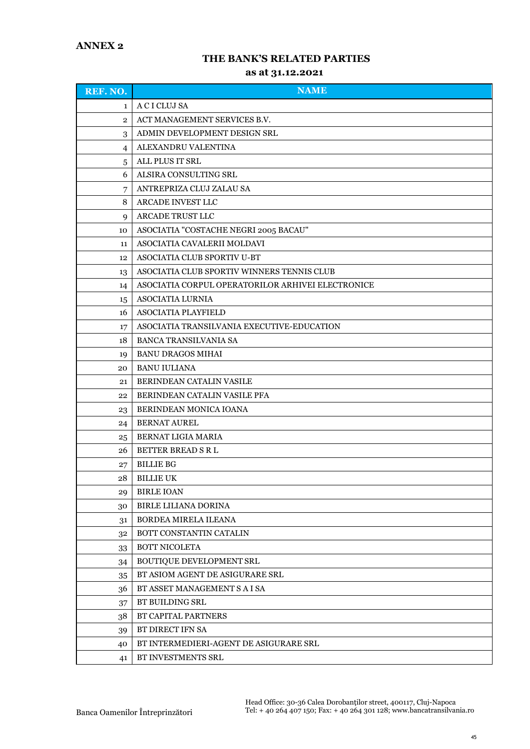### **THE BANK'S RELATED PARTIES**

#### **as at 31.12.2021**

<span id="page-44-0"></span>

| REF. NO.       | <b>NAME</b>                                       |
|----------------|---------------------------------------------------|
| $\mathbf{1}$   | A C I CLUJ SA                                     |
| $\overline{2}$ | ACT MANAGEMENT SERVICES B.V.                      |
| 3              | ADMIN DEVELOPMENT DESIGN SRL                      |
| 4              | ALEXANDRU VALENTINA                               |
| 5              | ALL PLUS IT SRL                                   |
| 6              | ALSIRA CONSULTING SRL                             |
| 7              | ANTREPRIZA CLUJ ZALAU SA                          |
| 8              | ARCADE INVEST LLC                                 |
| 9              | ARCADE TRUST LLC                                  |
| 10             | ASOCIATIA "COSTACHE NEGRI 2005 BACAU"             |
| 11             | ASOCIATIA CAVALERII MOLDAVI                       |
| 12             | ASOCIATIA CLUB SPORTIV U-BT                       |
| 13             | ASOCIATIA CLUB SPORTIV WINNERS TENNIS CLUB        |
| 14             | ASOCIATIA CORPUL OPERATORILOR ARHIVEI ELECTRONICE |
| 15             | <b>ASOCIATIA LURNIA</b>                           |
| 16             | ASOCIATIA PLAYFIELD                               |
| 17             | ASOCIATIA TRANSILVANIA EXECUTIVE-EDUCATION        |
| 18             | <b>BANCA TRANSILVANIA SA</b>                      |
| 19             | <b>BANU DRAGOS MIHAI</b>                          |
| 20             | <b>BANU IULIANA</b>                               |
| 21             | <b>BERINDEAN CATALIN VASILE</b>                   |
| 22             | BERINDEAN CATALIN VASILE PFA                      |
| 23             | BERINDEAN MONICA IOANA                            |
| 24             | <b>BERNAT AUREL</b>                               |
| 25             | BERNAT LIGIA MARIA                                |
| 26             | <b>BETTER BREAD S R L</b>                         |
| 27             | <b>BILLIE BG</b>                                  |
| 28             | <b>BILLIE UK</b>                                  |
| 29             | <b>BIRLE IOAN</b>                                 |
| 30             | <b>BIRLE LILIANA DORINA</b>                       |
| 31             | BORDEA MIRELA ILEANA                              |
| 32             | BOTT CONSTANTIN CATALIN                           |
| 33             | BOTT NICOLETA                                     |
| 34             | <b>BOUTIQUE DEVELOPMENT SRL</b>                   |
| 35             | BT ASIOM AGENT DE ASIGURARE SRL                   |
| 36             | BT ASSET MANAGEMENT S A I SA                      |
| 37             | BT BUILDING SRL                                   |
| 38             | BT CAPITAL PARTNERS                               |
| 39             | BT DIRECT IFN SA                                  |
| 40             | BT INTERMEDIERI-AGENT DE ASIGURARE SRL            |
| 41             | BT INVESTMENTS SRL                                |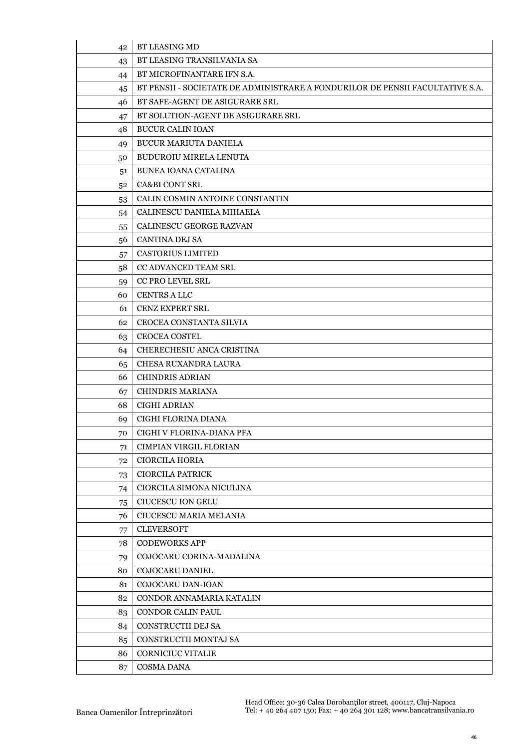| 42 | <b>BT LEASING MD</b>                                                          |
|----|-------------------------------------------------------------------------------|
| 43 | BT LEASING TRANSILVANIA SA                                                    |
| 44 | BT MICROFINANTARE IFN S.A.                                                    |
| 45 | BT PENSII - SOCIETATE DE ADMINISTRARE A FONDURILOR DE PENSII FACULTATIVE S.A. |
| 46 | BT SAFE-AGENT DE ASIGURARE SRL                                                |
| 47 | BT SOLUTION-AGENT DE ASIGURARE SRL                                            |
| 48 | <b>BUCUR CALIN IOAN</b>                                                       |
| 49 | <b>BUCUR MARIUTA DANIELA</b>                                                  |
| 50 | <b>BUDUROIU MIRELA LENUTA</b>                                                 |
| 51 | <b>BUNEA IOANA CATALINA</b>                                                   |
| 52 | <b>CA&amp;BI CONT SRL</b>                                                     |
| 53 | CALIN COSMIN ANTOINE CONSTANTIN                                               |
| 54 | CALINESCU DANIELA MIHAELA                                                     |
| 55 | CALINESCU GEORGE RAZVAN                                                       |
| 56 | <b>CANTINA DEJ SA</b>                                                         |
| 57 | <b>CASTORIUS LIMITED</b>                                                      |
| 58 | CC ADVANCED TEAM SRL                                                          |
| 59 | <b>CC PRO LEVEL SRL</b>                                                       |
| 60 | <b>CENTRS A LLC</b>                                                           |
| 61 | <b>CENZ EXPERT SRL</b>                                                        |
| 62 | CEOCEA CONSTANTA SILVIA                                                       |
| 63 | <b>CEOCEA COSTEL</b>                                                          |
| 64 | CHERECHESIU ANCA CRISTINA                                                     |
| 65 | CHESA RUXANDRA LAURA                                                          |
| 66 | <b>CHINDRIS ADRIAN</b>                                                        |
| 67 | <b>CHINDRIS MARIANA</b>                                                       |
| 68 | <b>CIGHI ADRIAN</b>                                                           |
| 69 | CIGHI FLORINA DIANA                                                           |
| 70 | CIGHI V FLORINA-DIANA PFA                                                     |
| 71 | <b>CIMPIAN VIRGIL FLORIAN</b>                                                 |
| 72 | <b>CIORCILA HORIA</b>                                                         |
| 73 | <b>CIORCILA PATRICK</b>                                                       |
| 74 | CIORCILA SIMONA NICULINA                                                      |
| 75 | <b>CIUCESCU ION GELU</b>                                                      |
| 76 | CIUCESCU MARIA MELANIA                                                        |
| 77 | <b>CLEVERSOFT</b>                                                             |
| 78 | <b>CODEWORKS APP</b>                                                          |
| 79 | COJOCARU CORINA-MADALINA                                                      |
| 80 | COJOCARU DANIEL                                                               |
| 81 | COJOCARU DAN-IOAN                                                             |
| 82 | CONDOR ANNAMARIA KATALIN                                                      |
| 83 | <b>CONDOR CALIN PAUL</b>                                                      |
| 84 | CONSTRUCTII DEJ SA                                                            |
| 85 | CONSTRUCTII MONTAJ SA                                                         |
| 86 | <b>CORNICIUC VITALIE</b>                                                      |
| 87 | COSMA DANA                                                                    |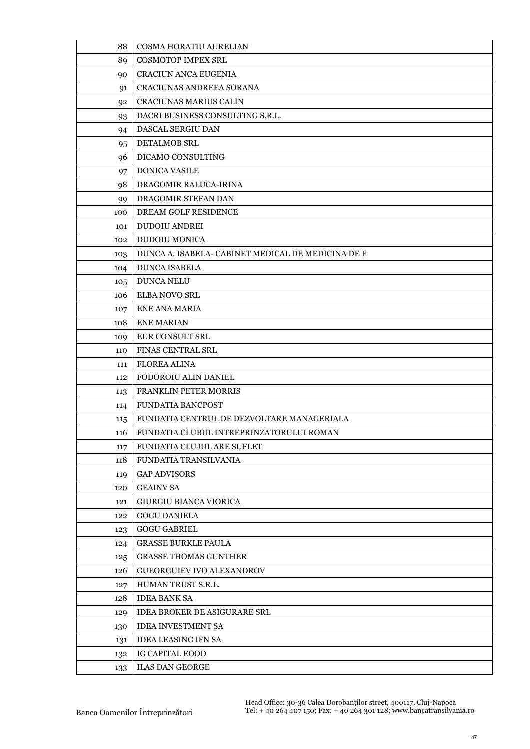| 88  | COSMA HORATIU AURELIAN                             |
|-----|----------------------------------------------------|
| 89  | <b>COSMOTOP IMPEX SRL</b>                          |
| 90  | CRACIUN ANCA EUGENIA                               |
| 91  | CRACIUNAS ANDREEA SORANA                           |
| 92  | <b>CRACIUNAS MARIUS CALIN</b>                      |
| 93  | DACRI BUSINESS CONSULTING S.R.L.                   |
| 94  | <b>DASCAL SERGIU DAN</b>                           |
| 95  | DETALMOB SRL                                       |
| 96  | DICAMO CONSULTING                                  |
| 97  | <b>DONICA VASILE</b>                               |
| 98  | DRAGOMIR RALUCA-IRINA                              |
| 99  | DRAGOMIR STEFAN DAN                                |
| 100 | <b>DREAM GOLF RESIDENCE</b>                        |
| 101 | <b>DUDOIU ANDREI</b>                               |
| 102 | DUDOIU MONICA                                      |
| 103 | DUNCA A. ISABELA- CABINET MEDICAL DE MEDICINA DE F |
| 104 | <b>DUNCA ISABELA</b>                               |
| 105 | DUNCA NELU                                         |
| 106 | <b>ELBA NOVO SRL</b>                               |
| 107 | <b>ENE ANA MARIA</b>                               |
| 108 | <b>ENE MARIAN</b>                                  |
| 109 | EUR CONSULT SRL                                    |
| 110 | <b>FINAS CENTRAL SRL</b>                           |
| 111 | <b>FLOREA ALINA</b>                                |
| 112 | FODOROIU ALIN DANIEL                               |
| 113 | FRANKLIN PETER MORRIS                              |
| 114 | <b>FUNDATIA BANCPOST</b>                           |
| 115 | FUNDATIA CENTRUL DE DEZVOLTARE MANAGERIALA         |
| 116 | FUNDATIA CLUBUL INTREPRINZATORULUI ROMAN           |
| 117 | FUNDATIA CLUJUL ARE SUFLET                         |
| 118 | FUNDATIA TRANSILVANIA                              |
| 119 | <b>GAP ADVISORS</b>                                |
| 120 | <b>GEAINV SA</b>                                   |
| 121 | <b>GIURGIU BIANCA VIORICA</b>                      |
| 122 | <b>GOGU DANIELA</b>                                |
| 123 | <b>GOGU GABRIEL</b>                                |
| 124 | <b>GRASSE BURKLE PAULA</b>                         |
| 125 | <b>GRASSE THOMAS GUNTHER</b>                       |
| 126 | GUEORGUIEV IVO ALEXANDROV                          |
| 127 | HUMAN TRUST S.R.L.                                 |
| 128 | <b>IDEA BANK SA</b>                                |
| 129 | <b>IDEA BROKER DE ASIGURARE SRL</b>                |
| 130 | <b>IDEA INVESTMENT SA</b>                          |
| 131 | <b>IDEA LEASING IFN SA</b>                         |
| 132 | <b>IG CAPITAL EOOD</b>                             |
| 133 | <b>ILAS DAN GEORGE</b>                             |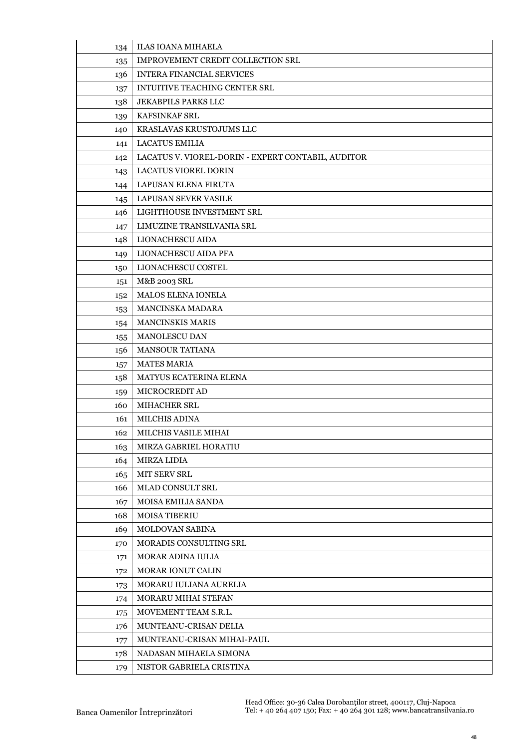| 134 | <b>ILAS IOANA MIHAELA</b>                          |
|-----|----------------------------------------------------|
| 135 | IMPROVEMENT CREDIT COLLECTION SRL                  |
| 136 | <b>INTERA FINANCIAL SERVICES</b>                   |
| 137 | INTUITIVE TEACHING CENTER SRL                      |
| 138 | JEKABPILS PARKS LLC                                |
| 139 | KAFSINKAF SRL                                      |
| 140 | KRASLAVAS KRUSTOJUMS LLC                           |
| 141 | <b>LACATUS EMILIA</b>                              |
| 142 | LACATUS V. VIOREL-DORIN - EXPERT CONTABIL, AUDITOR |
| 143 | <b>LACATUS VIOREL DORIN</b>                        |
| 144 | LAPUSAN ELENA FIRUTA                               |
| 145 | LAPUSAN SEVER VASILE                               |
| 146 | LIGHTHOUSE INVESTMENT SRL                          |
| 147 | LIMUZINE TRANSILVANIA SRL                          |
| 148 | LIONACHESCU AIDA                                   |
| 149 | LIONACHESCU AIDA PFA                               |
| 150 | LIONACHESCU COSTEL                                 |
| 151 | M&B 2003 SRL                                       |
| 152 | MALOS ELENA IONELA                                 |
| 153 | MANCINSKA MADARA                                   |
| 154 | <b>MANCINSKIS MARIS</b>                            |
| 155 | MANOLESCU DAN                                      |
| 156 | <b>MANSOUR TATIANA</b>                             |
| 157 | <b>MATES MARIA</b>                                 |
| 158 | MATYUS ECATERINA ELENA                             |
| 159 | MICROCREDIT AD                                     |
| 160 | MIHACHER SRL                                       |
| 161 | <b>MILCHIS ADINA</b>                               |
| 162 | MILCHIS VASILE MIHAI                               |
| 163 | MIRZA GABRIEL HORATIU                              |
| 164 | <b>MIRZA LIDIA</b>                                 |
| 165 | <b>MIT SERV SRL</b>                                |
| 166 | <b>MLAD CONSULT SRL</b>                            |
| 167 | MOISA EMILIA SANDA                                 |
| 168 | <b>MOISA TIBERIU</b>                               |
| 169 | <b>MOLDOVAN SABINA</b>                             |
| 170 | MORADIS CONSULTING SRL                             |
| 171 | <b>MORAR ADINA IULIA</b>                           |
| 172 | <b>MORAR IONUT CALIN</b>                           |
| 173 | MORARU IULIANA AURELIA                             |
| 174 | <b>MORARU MIHAI STEFAN</b>                         |
| 175 | MOVEMENT TEAM S.R.L.                               |
| 176 | MUNTEANU-CRISAN DELIA                              |
| 177 | MUNTEANU-CRISAN MIHAI-PAUL                         |
| 178 | NADASAN MIHAELA SIMONA                             |
| 179 | NISTOR GABRIELA CRISTINA                           |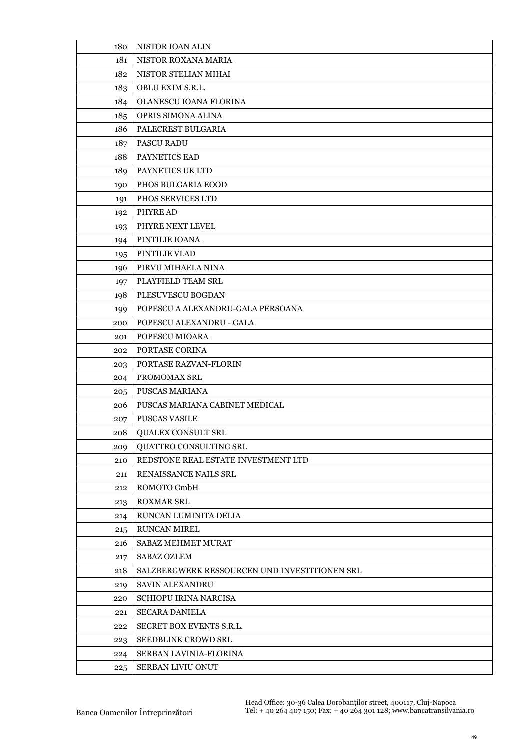| 180 | NISTOR IOAN ALIN                              |
|-----|-----------------------------------------------|
| 181 | NISTOR ROXANA MARIA                           |
| 182 | NISTOR STELIAN MIHAI                          |
| 183 | OBLU EXIM S.R.L.                              |
| 184 | OLANESCU IOANA FLORINA                        |
| 185 | OPRIS SIMONA ALINA                            |
| 186 | PALECREST BULGARIA                            |
| 187 | <b>PASCU RADU</b>                             |
| 188 | PAYNETICS EAD                                 |
| 189 | PAYNETICS UK LTD                              |
| 190 | PHOS BULGARIA EOOD                            |
| 191 | PHOS SERVICES LTD                             |
| 192 | PHYRE AD                                      |
| 193 | PHYRE NEXT LEVEL                              |
| 194 | PINTILIE IOANA                                |
| 195 | PINTILIE VLAD                                 |
| 196 | PIRVU MIHAELA NINA                            |
| 197 | PLAYFIELD TEAM SRL                            |
| 198 | PLESUVESCU BOGDAN                             |
| 199 | POPESCU A ALEXANDRU-GALA PERSOANA             |
| 200 | POPESCU ALEXANDRU - GALA                      |
| 201 | POPESCU MIOARA                                |
| 202 | PORTASE CORINA                                |
| 203 | PORTASE RAZVAN-FLORIN                         |
| 204 | PROMOMAX SRL                                  |
| 205 | PUSCAS MARIANA                                |
| 206 | PUSCAS MARIANA CABINET MEDICAL                |
| 207 | <b>PUSCAS VASILE</b>                          |
| 208 | <b>OUALEX CONSULT SRL</b>                     |
| 209 | QUATTRO CONSULTING SRL                        |
| 210 | REDSTONE REAL ESTATE INVESTMENT LTD           |
| 211 | RENAISSANCE NAILS SRL                         |
| 212 | ROMOTO GmbH                                   |
| 213 | <b>ROXMAR SRL</b>                             |
| 214 | RUNCAN LUMINITA DELIA                         |
| 215 | <b>RUNCAN MIREL</b>                           |
| 216 | SABAZ MEHMET MURAT                            |
| 217 | <b>SABAZ OZLEM</b>                            |
| 218 | SALZBERGWERK RESSOURCEN UND INVESTITIONEN SRL |
| 219 | <b>SAVIN ALEXANDRU</b>                        |
| 220 | <b>SCHIOPU IRINA NARCISA</b>                  |
| 221 | <b>SECARA DANIELA</b>                         |
| 222 | SECRET BOX EVENTS S.R.L.                      |
| 223 | <b>SEEDBLINK CROWD SRL</b>                    |
| 224 | SERBAN LAVINIA-FLORINA                        |
| 225 | SERBAN LIVIU ONUT                             |